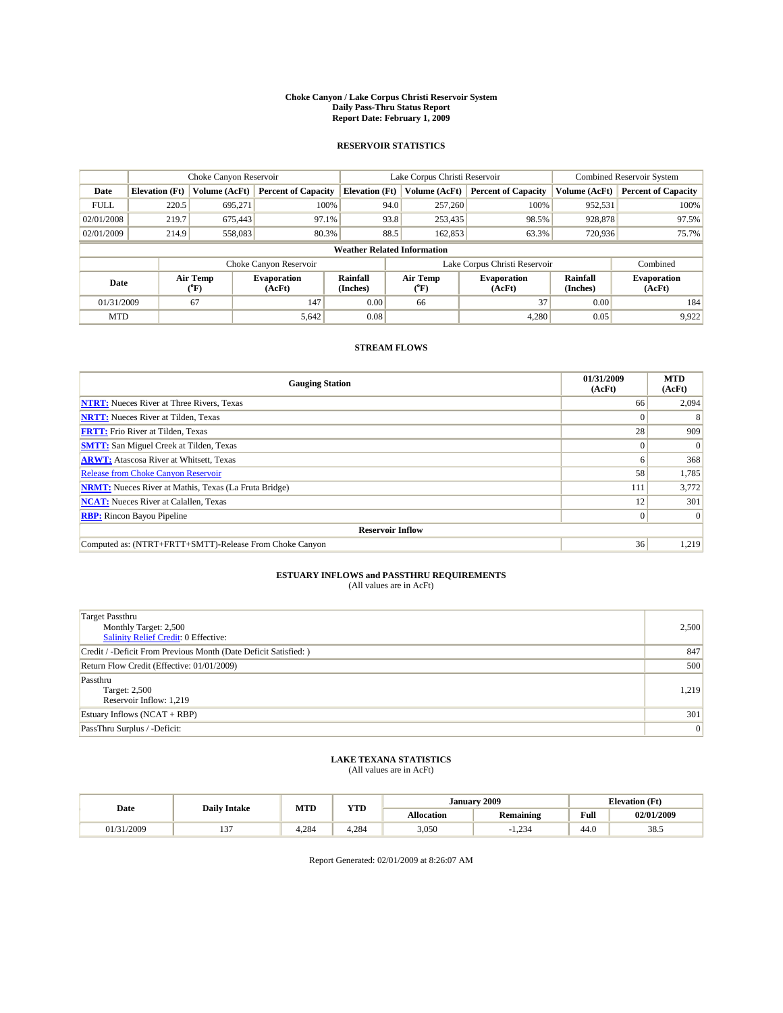#### **Choke Canyon / Lake Corpus Christi Reservoir System Daily Pass-Thru Status Report Report Date: February 1, 2009**

#### **RESERVOIR STATISTICS**

|                                    | Choke Canyon Reservoir |                  |                              |                             | Lake Corpus Christi Reservoir | <b>Combined Reservoir System</b> |                      |                              |
|------------------------------------|------------------------|------------------|------------------------------|-----------------------------|-------------------------------|----------------------------------|----------------------|------------------------------|
| Date                               | <b>Elevation</b> (Ft)  | Volume (AcFt)    | <b>Percent of Capacity</b>   | <b>Elevation</b> (Ft)       | Volume (AcFt)                 | <b>Percent of Capacity</b>       | Volume (AcFt)        | <b>Percent of Capacity</b>   |
| <b>FULL</b>                        | 220.5                  | 695,271          | 100%                         | 94.0                        | 257,260                       | 100%                             | 952,531              | 100%                         |
| 02/01/2008                         | 219.7                  | 675,443          | 97.1%                        | 93.8                        | 253,435                       | 98.5%                            | 928,878              | 97.5%                        |
| 02/01/2009                         | 214.9                  | 558,083          | 80.3%                        | 88.5                        | 162,853                       | 63.3%                            | 720,936              | 75.7%                        |
| <b>Weather Related Information</b> |                        |                  |                              |                             |                               |                                  |                      |                              |
|                                    |                        |                  | Choke Canyon Reservoir       |                             | Lake Corpus Christi Reservoir |                                  |                      | Combined                     |
| Date                               |                        | Air Temp<br>(°F) | <b>Evaporation</b><br>(AcFt) | <b>Rainfall</b><br>(Inches) | Air Temp<br>("F)              | <b>Evaporation</b><br>(AcFt)     | Rainfall<br>(Inches) | <b>Evaporation</b><br>(AcFt) |
| 01/31/2009                         |                        | 67               | 147                          | 0.00                        | 66                            | 37                               | 0.00                 | 184                          |
| <b>MTD</b>                         |                        |                  | 5,642                        | 0.08                        |                               | 4,280                            | 0.05                 | 9,922                        |

### **STREAM FLOWS**

| <b>Gauging Station</b>                                       | 01/31/2009<br>(AcFt) | <b>MTD</b><br>(AcFt) |  |  |  |  |  |
|--------------------------------------------------------------|----------------------|----------------------|--|--|--|--|--|
| <b>NTRT:</b> Nueces River at Three Rivers, Texas             | 66                   | 2,094                |  |  |  |  |  |
| <b>NRTT:</b> Nueces River at Tilden, Texas                   | $\Omega$             |                      |  |  |  |  |  |
| <b>FRTT:</b> Frio River at Tilden, Texas                     | 28                   | 909                  |  |  |  |  |  |
| <b>SMTT:</b> San Miguel Creek at Tilden, Texas               | $\theta$             | $\Omega$             |  |  |  |  |  |
| <b>ARWT:</b> Atascosa River at Whitsett, Texas               | o                    | 368                  |  |  |  |  |  |
| <b>Release from Choke Canyon Reservoir</b>                   | 58                   | 1,785                |  |  |  |  |  |
| <b>NRMT:</b> Nueces River at Mathis, Texas (La Fruta Bridge) | 111                  | 3,772                |  |  |  |  |  |
| <b>NCAT:</b> Nueces River at Calallen, Texas                 | 12                   | 301                  |  |  |  |  |  |
| <b>RBP:</b> Rincon Bayou Pipeline                            | $\overline{0}$       | $\Omega$             |  |  |  |  |  |
| <b>Reservoir Inflow</b>                                      |                      |                      |  |  |  |  |  |
| Computed as: (NTRT+FRTT+SMTT)-Release From Choke Canyon      | 36                   | 1,219                |  |  |  |  |  |

# **ESTUARY INFLOWS and PASSTHRU REQUIREMENTS**<br>(All values are in AcFt)

| <b>Target Passthru</b><br>Monthly Target: 2,500<br>Salinity Relief Credit: 0 Effective: | 2,500 |
|-----------------------------------------------------------------------------------------|-------|
| Credit / -Deficit From Previous Month (Date Deficit Satisfied: )                        | 847   |
| Return Flow Credit (Effective: 01/01/2009)                                              | 500   |
| Passthru<br>Target: 2,500<br>Reservoir Inflow: 1,219                                    | 1,219 |
| Estuary Inflows $(NCAT + RBP)$                                                          | 301   |
| PassThru Surplus / -Deficit:                                                            | 0     |

## **LAKE TEXANA STATISTICS** (All values are in AcFt)

| Date   | <b>Daily Intake</b> | <b>MTD</b> | <b>VTD</b><br>1 I D | <b>January</b>    | 2009             | <b>Elevation</b> (Ft) |            |
|--------|---------------------|------------|---------------------|-------------------|------------------|-----------------------|------------|
|        |                     |            |                     | <b>Allocation</b> | <b>Remaining</b> | Full                  | 02/01/2009 |
| 1/2009 | $-$<br>. .          | +.284      | 4.284               | 3,050             | 1.234            | 44.0                  | 38.5       |

Report Generated: 02/01/2009 at 8:26:07 AM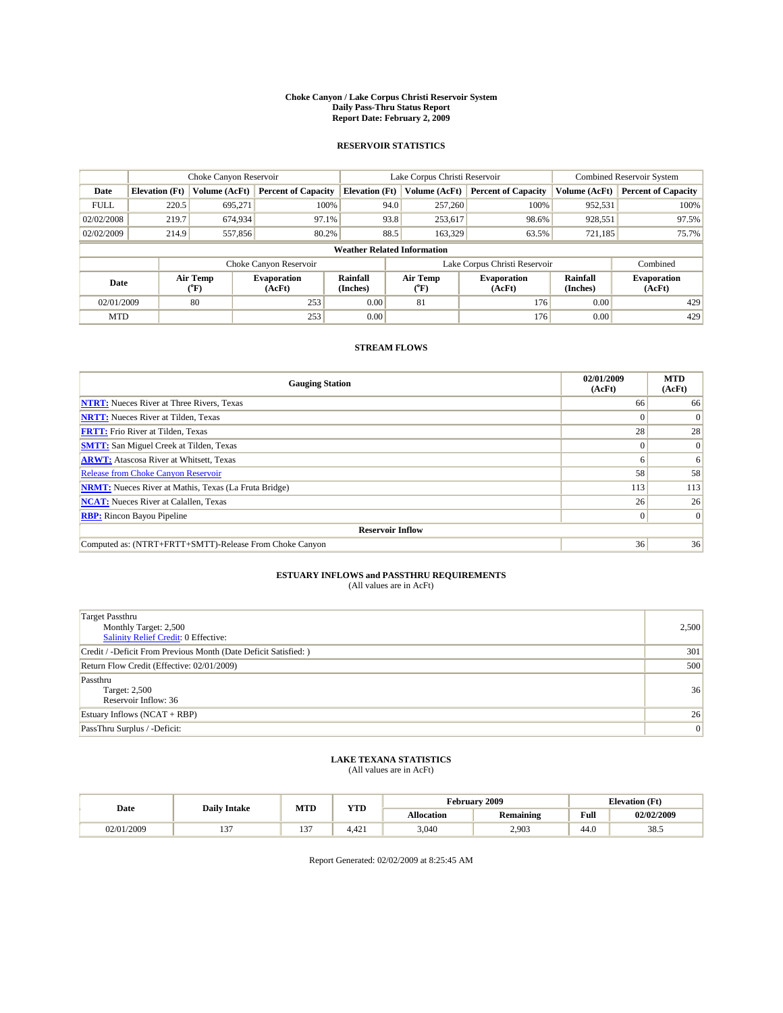#### **Choke Canyon / Lake Corpus Christi Reservoir System Daily Pass-Thru Status Report Report Date: February 2, 2009**

#### **RESERVOIR STATISTICS**

|                                    | Choke Canyon Reservoir |                  |                              |                             | Lake Corpus Christi Reservoir | Combined Reservoir System     |                      |                              |
|------------------------------------|------------------------|------------------|------------------------------|-----------------------------|-------------------------------|-------------------------------|----------------------|------------------------------|
| Date                               | <b>Elevation</b> (Ft)  | Volume (AcFt)    | <b>Percent of Capacity</b>   | <b>Elevation</b> (Ft)       | Volume (AcFt)                 | <b>Percent of Capacity</b>    | Volume (AcFt)        | <b>Percent of Capacity</b>   |
| <b>FULL</b>                        | 220.5                  | 695,271          | 100%                         | 94.0                        | 257,260                       | 100%                          | 952,531              | 100%                         |
| 02/02/2008                         | 219.7                  | 674,934          | 97.1%                        | 93.8                        | 253,617                       | 98.6%                         | 928,551              | 97.5%                        |
| 02/02/2009                         | 214.9                  | 557,856          | 80.2%                        | 88.5                        | 163,329                       | 63.5%                         | 721,185              | 75.7%                        |
| <b>Weather Related Information</b> |                        |                  |                              |                             |                               |                               |                      |                              |
|                                    |                        |                  | Choke Canyon Reservoir       |                             |                               | Lake Corpus Christi Reservoir |                      | Combined                     |
| Date                               |                        | Air Temp<br>(°F) | <b>Evaporation</b><br>(AcFt) | <b>Rainfall</b><br>(Inches) | Air Temp<br>(°F)              | <b>Evaporation</b><br>(AcFt)  | Rainfall<br>(Inches) | <b>Evaporation</b><br>(AcFt) |
| 02/01/2009                         |                        | 80               | 253                          | 0.00                        | 81                            | 176                           | 0.00                 | 429                          |
| <b>MTD</b>                         |                        |                  | 253                          | 0.00                        |                               | 176                           | 0.00                 | 429                          |

### **STREAM FLOWS**

| <b>Gauging Station</b>                                       | 02/01/2009<br>(AcFt) | <b>MTD</b><br>(AcFt) |  |  |  |  |  |
|--------------------------------------------------------------|----------------------|----------------------|--|--|--|--|--|
| <b>NTRT:</b> Nueces River at Three Rivers, Texas             | 66                   | 66                   |  |  |  |  |  |
| <b>NRTT:</b> Nueces River at Tilden, Texas                   |                      | $\Omega$             |  |  |  |  |  |
| <b>FRTT:</b> Frio River at Tilden, Texas                     | 28                   | 28                   |  |  |  |  |  |
| <b>SMTT:</b> San Miguel Creek at Tilden, Texas               | $\theta$             | $\Omega$             |  |  |  |  |  |
| <b>ARWT:</b> Atascosa River at Whitsett, Texas               | o                    | 6                    |  |  |  |  |  |
| <b>Release from Choke Canyon Reservoir</b>                   | 58                   | 58                   |  |  |  |  |  |
| <b>NRMT:</b> Nueces River at Mathis, Texas (La Fruta Bridge) | 113                  | 113                  |  |  |  |  |  |
| <b>NCAT:</b> Nueces River at Calallen, Texas                 | 26                   | 26                   |  |  |  |  |  |
| <b>RBP:</b> Rincon Bayou Pipeline                            | $\overline{0}$       | $\Omega$             |  |  |  |  |  |
| <b>Reservoir Inflow</b>                                      |                      |                      |  |  |  |  |  |
| Computed as: (NTRT+FRTT+SMTT)-Release From Choke Canyon      | 36                   | 36                   |  |  |  |  |  |

# **ESTUARY INFLOWS and PASSTHRU REQUIREMENTS**<br>(All values are in AcFt)

| <b>Target Passthru</b><br>Monthly Target: 2,500<br>Salinity Relief Credit: 0 Effective: | 2,500 |
|-----------------------------------------------------------------------------------------|-------|
| Credit / -Deficit From Previous Month (Date Deficit Satisfied: )                        | 301   |
| Return Flow Credit (Effective: 02/01/2009)                                              | 500   |
| Passthru<br>Target: 2,500<br>Reservoir Inflow: 36                                       | 36    |
| Estuary Inflows $(NCAT + RBP)$                                                          | 26    |
| PassThru Surplus / -Deficit:                                                            | 0     |

## **LAKE TEXANA STATISTICS** (All values are in AcFt)

|            | <b>Daily Intake</b> | MTD           | <b>YTD</b>         |            | <b>February 2009</b> | <b>Elevation</b> (Ft)                   |            |
|------------|---------------------|---------------|--------------------|------------|----------------------|-----------------------------------------|------------|
| Date       |                     |               |                    | Allocation | <b>Remaining</b>     | Full<br>the contract of the contract of | 02/02/2009 |
| 02/01/2009 | $\sim$              | $\sim$<br>. . | $\Lambda$<br>4.421 | 3,040      | 2,903                | 44.0                                    | 38.5       |

Report Generated: 02/02/2009 at 8:25:45 AM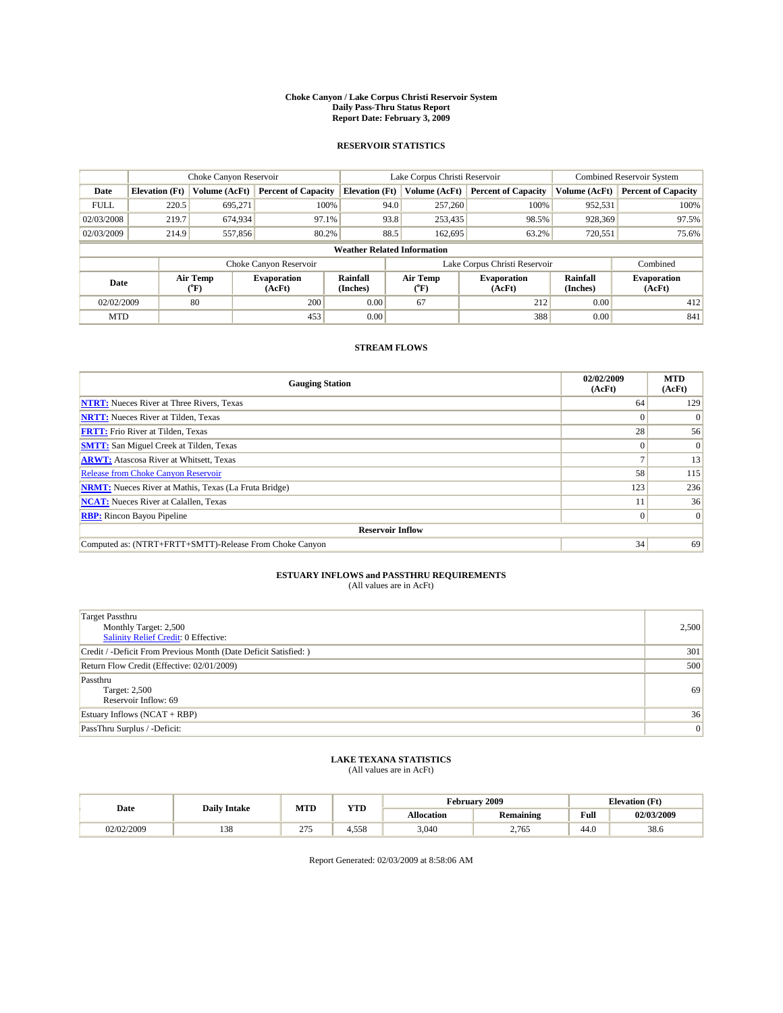#### **Choke Canyon / Lake Corpus Christi Reservoir System Daily Pass-Thru Status Report Report Date: February 3, 2009**

#### **RESERVOIR STATISTICS**

|             |                                    | Choke Canyon Reservoir |                              |                       | Lake Corpus Christi Reservoir | <b>Combined Reservoir System</b> |                             |                              |  |
|-------------|------------------------------------|------------------------|------------------------------|-----------------------|-------------------------------|----------------------------------|-----------------------------|------------------------------|--|
| Date        | <b>Elevation</b> (Ft)              | Volume (AcFt)          | <b>Percent of Capacity</b>   | <b>Elevation</b> (Ft) | Volume (AcFt)                 | <b>Percent of Capacity</b>       | Volume (AcFt)               | <b>Percent of Capacity</b>   |  |
| <b>FULL</b> | 220.5                              | 695,271                | 100%                         | 94.0                  | 257,260                       | 100%                             | 952,531                     | 100%                         |  |
| 02/03/2008  | 219.7                              | 674,934                | 97.1%                        | 93.8                  | 253,435                       | 98.5%                            | 928,369                     | 97.5%                        |  |
| 02/03/2009  | 214.9                              | 557,856                | 80.2%                        | 88.5                  | 162,695                       | 63.2%                            | 720,551                     | 75.6%                        |  |
|             | <b>Weather Related Information</b> |                        |                              |                       |                               |                                  |                             |                              |  |
|             |                                    |                        | Choke Canyon Reservoir       |                       | Lake Corpus Christi Reservoir |                                  |                             | Combined                     |  |
| Date        |                                    | Air Temp<br>(°F)       | <b>Evaporation</b><br>(AcFt) | Rainfall<br>(Inches)  | Air Temp<br>("F)              | <b>Evaporation</b><br>(AcFt)     | <b>Rainfall</b><br>(Inches) | <b>Evaporation</b><br>(AcFt) |  |
| 02/02/2009  |                                    | 80                     | 200                          | 0.00                  | 67                            | 212                              | 0.00                        | 412                          |  |
| <b>MTD</b>  |                                    |                        | 453                          | 0.00                  |                               | 388                              | 0.00                        | 841                          |  |

### **STREAM FLOWS**

| <b>Gauging Station</b>                                       | 02/02/2009<br>(AcFt) | <b>MTD</b><br>(AcFt) |  |  |  |  |  |
|--------------------------------------------------------------|----------------------|----------------------|--|--|--|--|--|
| <b>NTRT:</b> Nueces River at Three Rivers, Texas             | 64                   | 129                  |  |  |  |  |  |
| <b>NRTT:</b> Nueces River at Tilden, Texas                   | $\Omega$             |                      |  |  |  |  |  |
| <b>FRTT:</b> Frio River at Tilden, Texas                     | 28                   | 56                   |  |  |  |  |  |
| <b>SMTT:</b> San Miguel Creek at Tilden, Texas               | $\Omega$             | $\Omega$             |  |  |  |  |  |
| <b>ARWT:</b> Atascosa River at Whitsett, Texas               |                      | 13                   |  |  |  |  |  |
| <b>Release from Choke Canyon Reservoir</b>                   | 58                   | 115                  |  |  |  |  |  |
| <b>NRMT:</b> Nueces River at Mathis, Texas (La Fruta Bridge) | 123                  | 236                  |  |  |  |  |  |
| <b>NCAT:</b> Nueces River at Calallen, Texas                 |                      | 36                   |  |  |  |  |  |
| <b>RBP:</b> Rincon Bayou Pipeline                            | $\overline{0}$       | $\Omega$             |  |  |  |  |  |
| <b>Reservoir Inflow</b>                                      |                      |                      |  |  |  |  |  |
| Computed as: (NTRT+FRTT+SMTT)-Release From Choke Canyon      | 34                   | 69                   |  |  |  |  |  |

# **ESTUARY INFLOWS and PASSTHRU REQUIREMENTS**<br>(All values are in AcFt)

| <b>Target Passthru</b><br>Monthly Target: 2,500<br><b>Salinity Relief Credit: 0 Effective:</b> | 2,500 |
|------------------------------------------------------------------------------------------------|-------|
| Credit / -Deficit From Previous Month (Date Deficit Satisfied: )                               | 301   |
| Return Flow Credit (Effective: 02/01/2009)                                                     | 500   |
| Passthru<br>Target: 2,500<br>Reservoir Inflow: 69                                              | 69    |
| Estuary Inflows $(NCAT + RBP)$                                                                 | 36    |
| PassThru Surplus / -Deficit:                                                                   | 0     |

# **LAKE TEXANA STATISTICS** (All values are in AcFt)

|            | <b>Daily Intake</b> | <b>MTD</b> | <b>YTD</b> | rebruary "        | 2009             | <b>Elevation</b> (Ft) |            |
|------------|---------------------|------------|------------|-------------------|------------------|-----------------------|------------|
| Date       |                     |            |            | <b>Allocation</b> | <b>Remaining</b> | Full                  | 02/03/2009 |
| 02/02/2009 | 138                 | 275<br>21. | +.558      | 3.040             | 2.765            | 44.0                  | 38.6       |

Report Generated: 02/03/2009 at 8:58:06 AM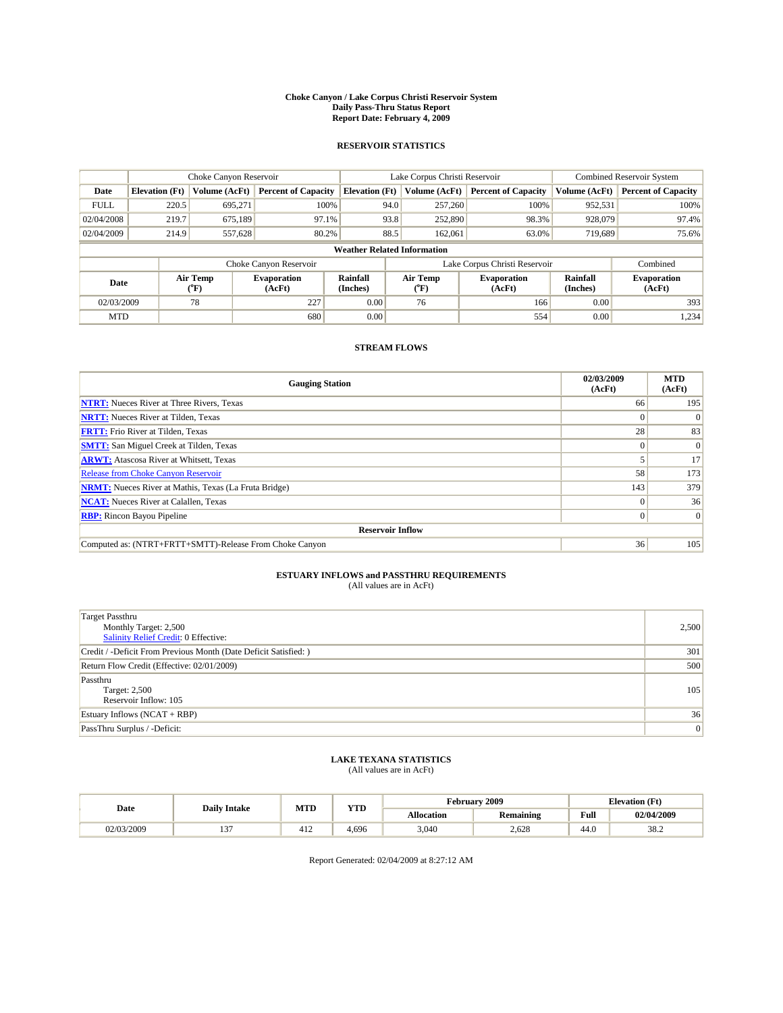#### **Choke Canyon / Lake Corpus Christi Reservoir System Daily Pass-Thru Status Report Report Date: February 4, 2009**

#### **RESERVOIR STATISTICS**

|                                    | Choke Canyon Reservoir |                  |                              |                             | Lake Corpus Christi Reservoir | <b>Combined Reservoir System</b> |                      |                              |  |
|------------------------------------|------------------------|------------------|------------------------------|-----------------------------|-------------------------------|----------------------------------|----------------------|------------------------------|--|
| Date                               | <b>Elevation</b> (Ft)  | Volume (AcFt)    | <b>Percent of Capacity</b>   | <b>Elevation</b> (Ft)       | Volume (AcFt)                 | <b>Percent of Capacity</b>       | Volume (AcFt)        | <b>Percent of Capacity</b>   |  |
| <b>FULL</b>                        | 220.5                  | 695,271          | 100%                         | 94.0                        | 257,260                       | 100%                             | 952,531              | 100%                         |  |
| 02/04/2008                         | 219.7                  | 675,189          | 97.1%                        | 93.8                        | 252,890                       | 98.3%                            | 928,079              | 97.4%                        |  |
| 02/04/2009                         | 214.9                  | 557,628          | 80.2%                        | 88.5                        | 162,061                       | 63.0%                            | 719,689              | 75.6%                        |  |
| <b>Weather Related Information</b> |                        |                  |                              |                             |                               |                                  |                      |                              |  |
|                                    |                        |                  | Choke Canyon Reservoir       |                             | Lake Corpus Christi Reservoir |                                  | Combined             |                              |  |
| Date                               |                        | Air Temp<br>(°F) | <b>Evaporation</b><br>(AcFt) | <b>Rainfall</b><br>(Inches) | Air Temp<br>(°F)              | <b>Evaporation</b><br>(AcFt)     | Rainfall<br>(Inches) | <b>Evaporation</b><br>(AcFt) |  |
| 02/03/2009                         |                        | 78               | 227                          | 0.00                        | 76                            | 166                              | 0.00                 | 393                          |  |
| <b>MTD</b>                         |                        |                  | 680                          | 0.00                        |                               | 554                              | 0.00                 | 1,234                        |  |

### **STREAM FLOWS**

| <b>Gauging Station</b>                                       | 02/03/2009<br>(AcFt) | <b>MTD</b><br>(AcFt) |  |  |  |  |  |
|--------------------------------------------------------------|----------------------|----------------------|--|--|--|--|--|
| <b>NTRT:</b> Nueces River at Three Rivers, Texas             | 66                   | 195                  |  |  |  |  |  |
| <b>NRTT:</b> Nueces River at Tilden, Texas                   | $\Omega$             | $\Omega$             |  |  |  |  |  |
| <b>FRTT:</b> Frio River at Tilden, Texas                     | 28                   | 83                   |  |  |  |  |  |
| <b>SMTT:</b> San Miguel Creek at Tilden, Texas               |                      | $\Omega$             |  |  |  |  |  |
| <b>ARWT:</b> Atascosa River at Whitsett, Texas               |                      | 17                   |  |  |  |  |  |
| <b>Release from Choke Canyon Reservoir</b>                   | 58                   | 173                  |  |  |  |  |  |
| <b>NRMT:</b> Nueces River at Mathis, Texas (La Fruta Bridge) | 143                  | 379                  |  |  |  |  |  |
| <b>NCAT:</b> Nueces River at Calallen, Texas                 | $\Omega$             | 36                   |  |  |  |  |  |
| <b>RBP:</b> Rincon Bayou Pipeline                            | $\overline{0}$       | $\Omega$             |  |  |  |  |  |
| <b>Reservoir Inflow</b>                                      |                      |                      |  |  |  |  |  |
| Computed as: (NTRT+FRTT+SMTT)-Release From Choke Canyon      | 36                   | 105                  |  |  |  |  |  |

# **ESTUARY INFLOWS and PASSTHRU REQUIREMENTS**<br>(All values are in AcFt)

| <b>Target Passthru</b><br>Monthly Target: 2,500<br>Salinity Relief Credit: 0 Effective: | 2,500 |
|-----------------------------------------------------------------------------------------|-------|
| Credit / -Deficit From Previous Month (Date Deficit Satisfied: )                        | 301   |
| Return Flow Credit (Effective: 02/01/2009)                                              | 500   |
| Passthru<br>Target: 2,500<br>Reservoir Inflow: 105                                      | 105   |
| Estuary Inflows $(NCAT + RBP)$                                                          | 36    |
| PassThru Surplus / -Deficit:                                                            | 0     |

## **LAKE TEXANA STATISTICS** (All values are in AcFt)

|            | <b>Daily Intake</b> | <b>MTD</b> | <b>YTD</b> | rebruary "        | 12009            | <b>Elevation</b> (Ft) |            |
|------------|---------------------|------------|------------|-------------------|------------------|-----------------------|------------|
| Date       |                     |            |            | <b>Allocation</b> | <b>Remaining</b> | Full                  | 02/04/2009 |
| 02/03/2009 | $\sim$<br>. .       | 412        | 4.696      | 3,040             | 2.628            | 44.0                  | 38.2       |

Report Generated: 02/04/2009 at 8:27:12 AM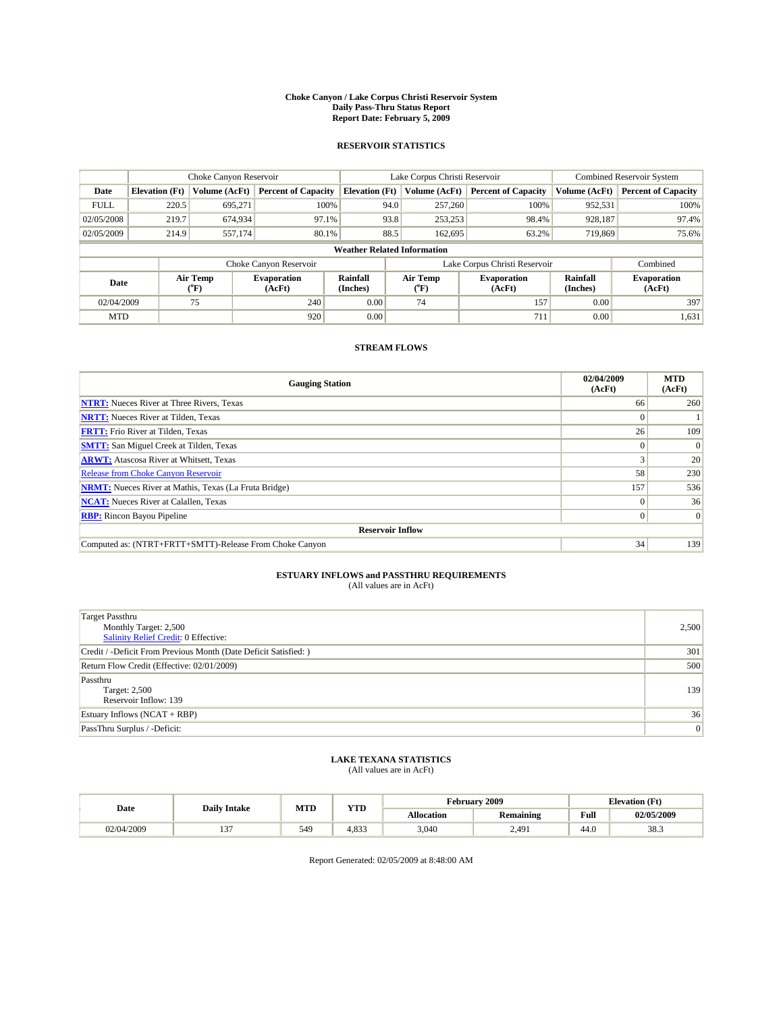#### **Choke Canyon / Lake Corpus Christi Reservoir System Daily Pass-Thru Status Report Report Date: February 5, 2009**

#### **RESERVOIR STATISTICS**

|                                    | Choke Canyon Reservoir |                  |                              |                             | Lake Corpus Christi Reservoir | <b>Combined Reservoir System</b> |                      |                              |  |
|------------------------------------|------------------------|------------------|------------------------------|-----------------------------|-------------------------------|----------------------------------|----------------------|------------------------------|--|
| Date                               | <b>Elevation</b> (Ft)  | Volume (AcFt)    | <b>Percent of Capacity</b>   | <b>Elevation</b> (Ft)       | Volume (AcFt)                 | <b>Percent of Capacity</b>       | Volume (AcFt)        | <b>Percent of Capacity</b>   |  |
| <b>FULL</b>                        | 220.5                  | 695,271          | 100%                         | 94.0                        | 257,260                       | 100%                             | 952,531              | 100%                         |  |
| 02/05/2008                         | 219.7                  | 674,934          | 97.1%                        | 93.8                        | 253,253                       | 98.4%                            | 928,187              | 97.4%                        |  |
| 02/05/2009                         | 214.9                  | 557,174          | 80.1%                        | 88.5                        | 162,695                       | 63.2%                            | 719,869              | 75.6%                        |  |
| <b>Weather Related Information</b> |                        |                  |                              |                             |                               |                                  |                      |                              |  |
|                                    |                        |                  | Choke Canyon Reservoir       |                             | Lake Corpus Christi Reservoir |                                  | Combined             |                              |  |
| Date                               |                        | Air Temp<br>(°F) | <b>Evaporation</b><br>(AcFt) | <b>Rainfall</b><br>(Inches) | Air Temp<br>(°F)              | <b>Evaporation</b><br>(AcFt)     | Rainfall<br>(Inches) | <b>Evaporation</b><br>(AcFt) |  |
| 02/04/2009                         |                        | 75               | 240                          | 0.00                        | 74                            | 157                              | 0.00                 | 397                          |  |
| <b>MTD</b>                         |                        |                  | 920                          | 0.00                        |                               | 711                              | 0.00                 | 1,631                        |  |

### **STREAM FLOWS**

| <b>Gauging Station</b>                                       | 02/04/2009<br>(AcFt) | <b>MTD</b><br>(AcFt) |  |  |  |  |  |
|--------------------------------------------------------------|----------------------|----------------------|--|--|--|--|--|
| <b>NTRT:</b> Nueces River at Three Rivers, Texas             | 66                   | 260                  |  |  |  |  |  |
| <b>NRTT:</b> Nueces River at Tilden, Texas                   | $\Omega$             |                      |  |  |  |  |  |
| <b>FRTT:</b> Frio River at Tilden, Texas                     | 26                   | 109                  |  |  |  |  |  |
| <b>SMTT:</b> San Miguel Creek at Tilden, Texas               |                      | $\Omega$             |  |  |  |  |  |
| <b>ARWT:</b> Atascosa River at Whitsett, Texas               |                      | 20                   |  |  |  |  |  |
| <b>Release from Choke Canyon Reservoir</b>                   | 58                   | 230                  |  |  |  |  |  |
| <b>NRMT:</b> Nueces River at Mathis, Texas (La Fruta Bridge) | 157                  | 536                  |  |  |  |  |  |
| <b>NCAT:</b> Nueces River at Calallen, Texas                 | $\Omega$             | 36                   |  |  |  |  |  |
| <b>RBP:</b> Rincon Bayou Pipeline                            | $\overline{0}$       | $\Omega$             |  |  |  |  |  |
| <b>Reservoir Inflow</b>                                      |                      |                      |  |  |  |  |  |
| Computed as: (NTRT+FRTT+SMTT)-Release From Choke Canyon      | 34                   | 139                  |  |  |  |  |  |

# **ESTUARY INFLOWS and PASSTHRU REQUIREMENTS**<br>(All values are in AcFt)

| <b>Target Passthru</b><br>Monthly Target: 2,500<br>Salinity Relief Credit: 0 Effective: | 2,500 |
|-----------------------------------------------------------------------------------------|-------|
| Credit / -Deficit From Previous Month (Date Deficit Satisfied: )                        | 301   |
| Return Flow Credit (Effective: 02/01/2009)                                              | 500   |
| Passthru<br>Target: 2,500<br>Reservoir Inflow: 139                                      | 139   |
| Estuary Inflows (NCAT + RBP)                                                            | 36    |
| PassThru Surplus / -Deficit:                                                            | 0     |

## **LAKE TEXANA STATISTICS** (All values are in AcFt)

|            | <b>Daily Intake</b> | <b>MTD</b> | <b>YTD</b>                | rebruary          | 12009            | <b>Elevation</b> (Ft) |            |
|------------|---------------------|------------|---------------------------|-------------------|------------------|-----------------------|------------|
| Date       |                     |            |                           | <b>Allocation</b> | <b>Remaining</b> | Full                  | 02/05/2009 |
| 02/04/2009 | $\sim$<br>. .       | 549        | $102^{\circ}$<br>$4.03 -$ | 3,040             | 2,491            | 44.0                  | 38.3       |

Report Generated: 02/05/2009 at 8:48:00 AM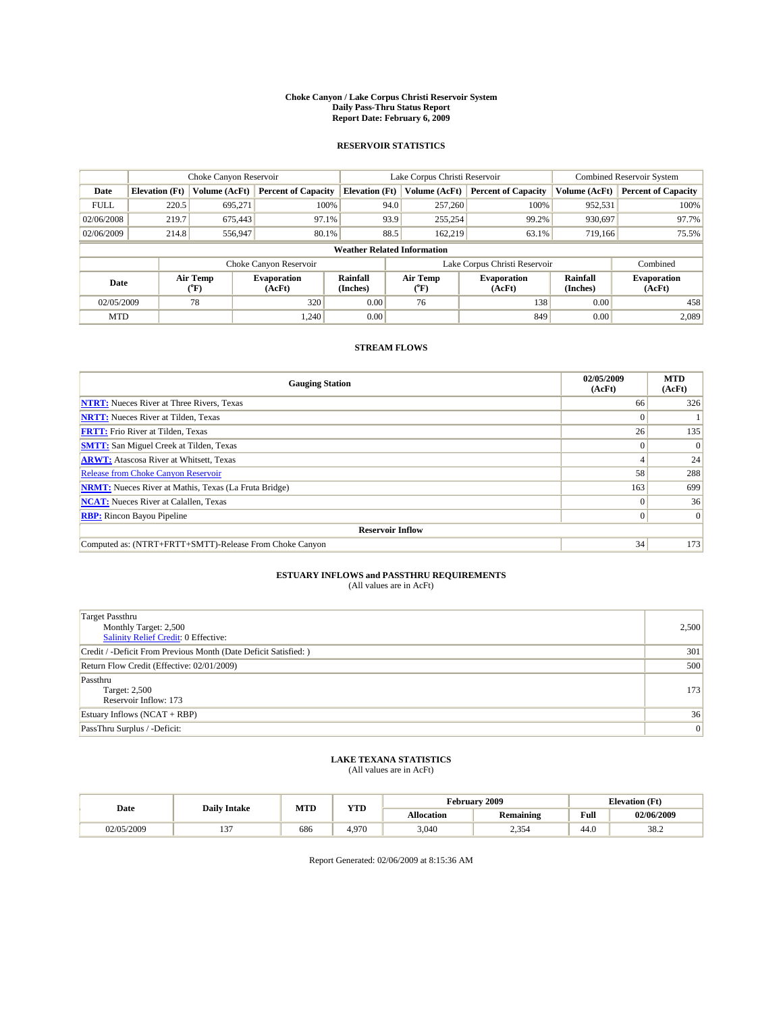#### **Choke Canyon / Lake Corpus Christi Reservoir System Daily Pass-Thru Status Report Report Date: February 6, 2009**

#### **RESERVOIR STATISTICS**

|                                    | Choke Canyon Reservoir |                  |                              |                             | Lake Corpus Christi Reservoir | <b>Combined Reservoir System</b> |                      |                              |  |
|------------------------------------|------------------------|------------------|------------------------------|-----------------------------|-------------------------------|----------------------------------|----------------------|------------------------------|--|
| Date                               | <b>Elevation</b> (Ft)  | Volume (AcFt)    | <b>Percent of Capacity</b>   | <b>Elevation</b> (Ft)       | Volume (AcFt)                 | <b>Percent of Capacity</b>       | Volume (AcFt)        | <b>Percent of Capacity</b>   |  |
| <b>FULL</b>                        | 220.5                  | 695,271          | 100%                         | 94.0                        | 257,260                       | 100%                             | 952,531              | 100%                         |  |
| 02/06/2008                         | 219.7                  | 675,443          | 97.1%                        | 93.9                        | 255,254                       | 99.2%                            | 930.697              | 97.7%                        |  |
| 02/06/2009                         | 214.8                  | 556,947          | 80.1%                        | 88.5                        | 162,219                       | 63.1%                            | 719,166              | 75.5%                        |  |
| <b>Weather Related Information</b> |                        |                  |                              |                             |                               |                                  |                      |                              |  |
|                                    |                        |                  | Choke Canyon Reservoir       |                             | Lake Corpus Christi Reservoir |                                  | Combined             |                              |  |
| Date                               |                        | Air Temp<br>(°F) | <b>Evaporation</b><br>(AcFt) | <b>Rainfall</b><br>(Inches) | Air Temp<br>(°F)              | <b>Evaporation</b><br>(AcFt)     | Rainfall<br>(Inches) | <b>Evaporation</b><br>(AcFt) |  |
| 02/05/2009                         |                        | 78               | 320                          | 0.00                        | 76                            | 138                              | 0.00                 | 458                          |  |
| <b>MTD</b>                         |                        |                  | 1.240                        | 0.00                        |                               | 849                              | 0.00                 | 2.089                        |  |

### **STREAM FLOWS**

| <b>Gauging Station</b>                                       | 02/05/2009<br>(AcFt) | <b>MTD</b><br>(AcFt) |  |  |  |  |  |
|--------------------------------------------------------------|----------------------|----------------------|--|--|--|--|--|
| <b>NTRT:</b> Nueces River at Three Rivers, Texas             | 66                   | 326                  |  |  |  |  |  |
| <b>NRTT:</b> Nueces River at Tilden, Texas                   | $\Omega$             |                      |  |  |  |  |  |
| <b>FRTT:</b> Frio River at Tilden, Texas                     | 26                   | 135                  |  |  |  |  |  |
| <b>SMTT:</b> San Miguel Creek at Tilden, Texas               | $\theta$             | $\Omega$             |  |  |  |  |  |
| <b>ARWT:</b> Atascosa River at Whitsett, Texas               |                      | 24                   |  |  |  |  |  |
| <b>Release from Choke Canyon Reservoir</b>                   | 58                   | 288                  |  |  |  |  |  |
| <b>NRMT:</b> Nueces River at Mathis, Texas (La Fruta Bridge) | 163                  | 699                  |  |  |  |  |  |
| <b>NCAT:</b> Nueces River at Calallen, Texas                 | $\Omega$             | 36                   |  |  |  |  |  |
| <b>RBP:</b> Rincon Bayou Pipeline                            |                      |                      |  |  |  |  |  |
| <b>Reservoir Inflow</b>                                      |                      |                      |  |  |  |  |  |
| Computed as: (NTRT+FRTT+SMTT)-Release From Choke Canyon      | 34                   | 173                  |  |  |  |  |  |

# **ESTUARY INFLOWS and PASSTHRU REQUIREMENTS**<br>(All values are in AcFt)

| <b>Target Passthru</b><br>Monthly Target: 2,500<br>Salinity Relief Credit: 0 Effective: | 2,500 |
|-----------------------------------------------------------------------------------------|-------|
| Credit / -Deficit From Previous Month (Date Deficit Satisfied: )                        | 301   |
| Return Flow Credit (Effective: 02/01/2009)                                              | 500   |
| Passthru<br>Target: 2,500<br>Reservoir Inflow: 173                                      | 173   |
| Estuary Inflows $(NCAT + RBP)$                                                          | 36    |
| PassThru Surplus / -Deficit:                                                            | 0     |

## **LAKE TEXANA STATISTICS** (All values are in AcFt)

|            | <b>Daily Intake</b> | <b>MTD</b> | <b>YTD</b> | rebruary "        | 2009             | <b>Elevation</b> (Ft) |            |
|------------|---------------------|------------|------------|-------------------|------------------|-----------------------|------------|
| Date       |                     |            |            | <b>Allocation</b> | <b>Remaining</b> | Full                  | 02/06/2009 |
| 02/05/2009 | $\sim$<br>. .       | 686        | 4.970      | 3,040             | 2,354            | 44.0                  | 38.2       |

Report Generated: 02/06/2009 at 8:15:36 AM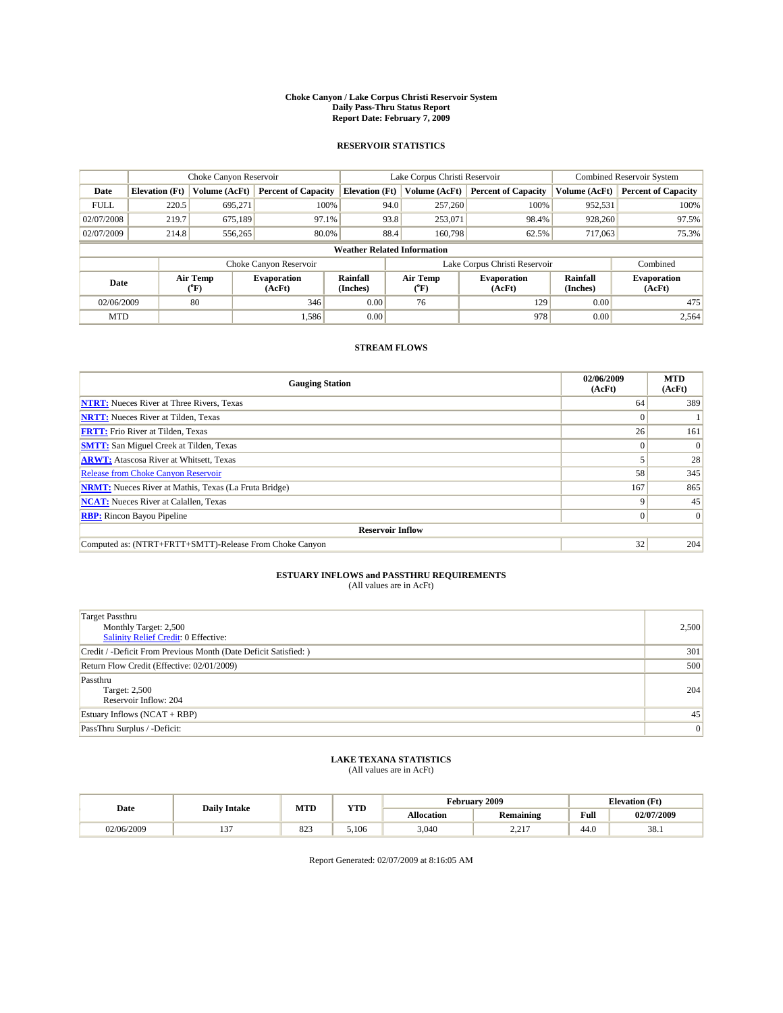#### **Choke Canyon / Lake Corpus Christi Reservoir System Daily Pass-Thru Status Report Report Date: February 7, 2009**

#### **RESERVOIR STATISTICS**

|                                    | Choke Canyon Reservoir |                  |                              |                             | Lake Corpus Christi Reservoir | <b>Combined Reservoir System</b> |                      |                              |  |
|------------------------------------|------------------------|------------------|------------------------------|-----------------------------|-------------------------------|----------------------------------|----------------------|------------------------------|--|
| Date                               | <b>Elevation</b> (Ft)  | Volume (AcFt)    | <b>Percent of Capacity</b>   | <b>Elevation</b> (Ft)       | Volume (AcFt)                 | <b>Percent of Capacity</b>       | Volume (AcFt)        | <b>Percent of Capacity</b>   |  |
| <b>FULL</b>                        | 220.5                  | 695,271          | 100%                         | 94.0                        | 257,260                       | 100%                             | 952,531              | 100%                         |  |
| 02/07/2008                         | 219.7                  | 675,189          | 97.1%                        | 93.8                        | 253,071                       | 98.4%                            | 928,260              | 97.5%                        |  |
| 02/07/2009                         | 214.8                  | 556,265          | 80.0%                        | 88.4                        | 160,798                       | 62.5%                            | 717,063              | 75.3%                        |  |
| <b>Weather Related Information</b> |                        |                  |                              |                             |                               |                                  |                      |                              |  |
|                                    |                        |                  | Choke Canyon Reservoir       |                             | Lake Corpus Christi Reservoir |                                  | Combined             |                              |  |
| Date                               |                        | Air Temp<br>(°F) | <b>Evaporation</b><br>(AcFt) | <b>Rainfall</b><br>(Inches) | Air Temp<br>(°F)              | <b>Evaporation</b><br>(AcFt)     | Rainfall<br>(Inches) | <b>Evaporation</b><br>(AcFt) |  |
| 02/06/2009                         |                        | 80               | 346                          | 0.00                        | 76                            | 129                              | 0.00                 | 475                          |  |
| <b>MTD</b>                         |                        |                  | 1,586                        | 0.00                        |                               | 978                              | 0.00                 | 2,564                        |  |

### **STREAM FLOWS**

| <b>Gauging Station</b>                                       | 02/06/2009<br>(AcFt) | <b>MTD</b><br>(AcFt) |  |  |  |  |  |
|--------------------------------------------------------------|----------------------|----------------------|--|--|--|--|--|
| <b>NTRT:</b> Nueces River at Three Rivers, Texas             | 64                   | 389                  |  |  |  |  |  |
| <b>NRTT:</b> Nueces River at Tilden, Texas                   | $\Omega$             |                      |  |  |  |  |  |
| <b>FRTT:</b> Frio River at Tilden, Texas                     | 26                   | 161                  |  |  |  |  |  |
| <b>SMTT:</b> San Miguel Creek at Tilden, Texas               |                      | $\Omega$             |  |  |  |  |  |
| <b>ARWT:</b> Atascosa River at Whitsett, Texas               |                      | 28                   |  |  |  |  |  |
| <b>Release from Choke Canyon Reservoir</b>                   | 58                   | 345                  |  |  |  |  |  |
| <b>NRMT:</b> Nueces River at Mathis, Texas (La Fruta Bridge) | 167                  | 865                  |  |  |  |  |  |
| <b>NCAT:</b> Nueces River at Calallen, Texas                 | 9                    | 45                   |  |  |  |  |  |
| <b>RBP:</b> Rincon Bayou Pipeline                            | $\overline{0}$       | $\Omega$             |  |  |  |  |  |
| <b>Reservoir Inflow</b>                                      |                      |                      |  |  |  |  |  |
| Computed as: (NTRT+FRTT+SMTT)-Release From Choke Canyon      | 32                   | 204                  |  |  |  |  |  |

# **ESTUARY INFLOWS and PASSTHRU REQUIREMENTS**<br>(All values are in AcFt)

| <b>Target Passthru</b><br>Monthly Target: 2,500<br>Salinity Relief Credit: 0 Effective: | 2,500 |
|-----------------------------------------------------------------------------------------|-------|
| Credit / -Deficit From Previous Month (Date Deficit Satisfied: )                        | 301   |
| Return Flow Credit (Effective: 02/01/2009)                                              | 500   |
| Passthru<br>Target: 2,500<br>Reservoir Inflow: 204                                      | 204   |
| Estuary Inflows $(NCAT + RBP)$                                                          | 45    |
| PassThru Surplus / -Deficit:                                                            | 0     |

## **LAKE TEXANA STATISTICS** (All values are in AcFt)

|            | <b>Daily Intake</b> | <b>MTD</b> | <b>YTD</b> |                   | <b>February 2009</b> | <b>Elevation</b> (Ft) |            |
|------------|---------------------|------------|------------|-------------------|----------------------|-----------------------|------------|
| Date       |                     |            |            | <b>Allocation</b> | <b>Remaining</b>     | Full                  | 02/07/2009 |
| 02/06/2009 | $\sim$<br>. .       | 022<br>04J | 5.106      | 3,040             | 2.217<br><u>_ _</u>  | 44.0                  | 38.1       |

Report Generated: 02/07/2009 at 8:16:05 AM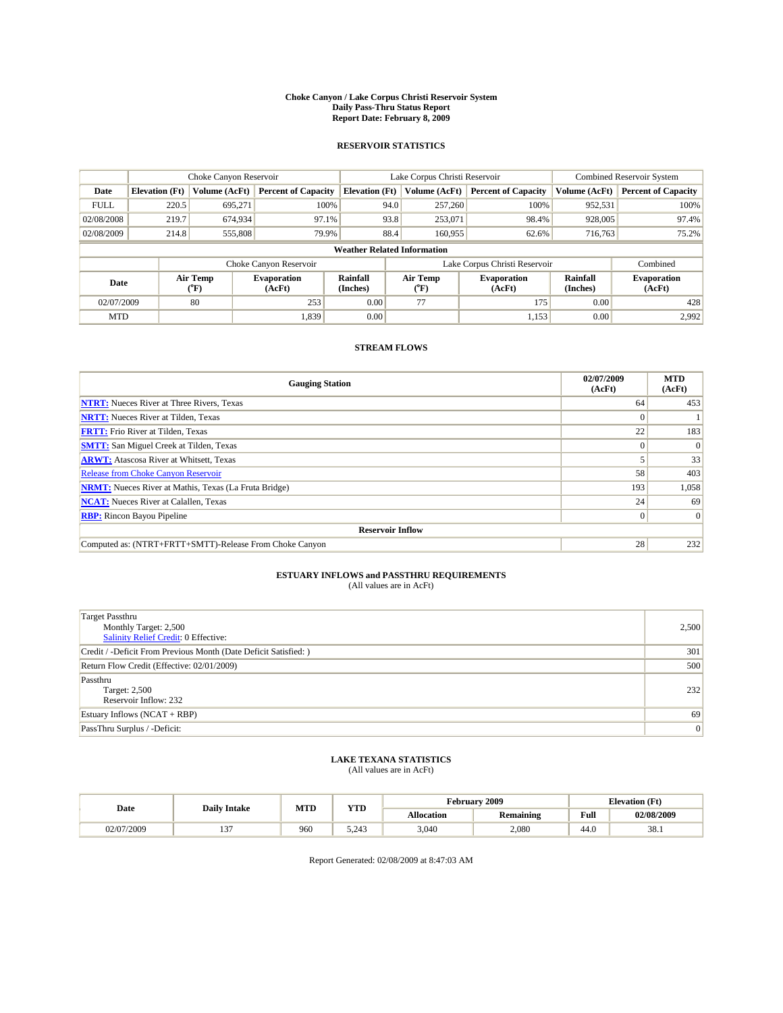#### **Choke Canyon / Lake Corpus Christi Reservoir System Daily Pass-Thru Status Report Report Date: February 8, 2009**

#### **RESERVOIR STATISTICS**

|                                    | Choke Canyon Reservoir |                                           |                              |                       | Lake Corpus Christi Reservoir | <b>Combined Reservoir System</b> |                      |                              |  |
|------------------------------------|------------------------|-------------------------------------------|------------------------------|-----------------------|-------------------------------|----------------------------------|----------------------|------------------------------|--|
| Date                               | <b>Elevation</b> (Ft)  | Volume (AcFt)                             | <b>Percent of Capacity</b>   | <b>Elevation</b> (Ft) | Volume (AcFt)                 | <b>Percent of Capacity</b>       | Volume (AcFt)        | <b>Percent of Capacity</b>   |  |
| <b>FULL</b>                        | 220.5                  | 695.271                                   | 100%                         | 94.0                  | 257,260                       | 100%                             | 952,531              | 100%                         |  |
| 02/08/2008                         | 219.7                  | 674,934                                   | 97.1%                        | 93.8                  | 253,071                       | 98.4%                            | 928,005              | 97.4%                        |  |
| 02/08/2009                         | 214.8                  | 555,808                                   | 79.9%                        | 88.4                  | 160,955                       | 62.6%                            | 716,763              | 75.2%                        |  |
| <b>Weather Related Information</b> |                        |                                           |                              |                       |                               |                                  |                      |                              |  |
|                                    |                        |                                           | Choke Canyon Reservoir       |                       | Lake Corpus Christi Reservoir |                                  | Combined             |                              |  |
| Date                               |                        | Air Temp<br>$({}^{\mathrm{o}}\mathrm{F})$ | <b>Evaporation</b><br>(AcFt) | Rainfall<br>(Inches)  | Air Temp<br>(°F)              | <b>Evaporation</b><br>(AcFt)     | Rainfall<br>(Inches) | <b>Evaporation</b><br>(AcFt) |  |
| 02/07/2009                         |                        | 80                                        | 253                          | 0.00                  | 77                            | 175                              | 0.00                 | 428                          |  |
| <b>MTD</b>                         |                        |                                           | 1,839                        | 0.00                  |                               | 1,153                            | 0.00                 | 2.992                        |  |

### **STREAM FLOWS**

| <b>Gauging Station</b>                                       | 02/07/2009<br>(AcFt) | <b>MTD</b><br>(AcFt) |  |  |  |  |  |
|--------------------------------------------------------------|----------------------|----------------------|--|--|--|--|--|
| <b>NTRT:</b> Nueces River at Three Rivers, Texas             | 64                   | 453                  |  |  |  |  |  |
| <b>NRTT:</b> Nueces River at Tilden, Texas                   | $\Omega$             |                      |  |  |  |  |  |
| <b>FRTT:</b> Frio River at Tilden, Texas                     | 22                   | 183                  |  |  |  |  |  |
| <b>SMTT:</b> San Miguel Creek at Tilden, Texas               |                      | $\Omega$             |  |  |  |  |  |
| <b>ARWT:</b> Atascosa River at Whitsett, Texas               |                      | 33                   |  |  |  |  |  |
| <b>Release from Choke Canyon Reservoir</b>                   | 58                   | 403                  |  |  |  |  |  |
| <b>NRMT:</b> Nueces River at Mathis, Texas (La Fruta Bridge) | 193                  | 1,058                |  |  |  |  |  |
| <b>NCAT:</b> Nueces River at Calallen, Texas                 | 24                   | 69                   |  |  |  |  |  |
| <b>RBP:</b> Rincon Bayou Pipeline                            | $\overline{0}$       | $\Omega$             |  |  |  |  |  |
| <b>Reservoir Inflow</b>                                      |                      |                      |  |  |  |  |  |
| Computed as: (NTRT+FRTT+SMTT)-Release From Choke Canyon      | 28                   | 232                  |  |  |  |  |  |

# **ESTUARY INFLOWS and PASSTHRU REQUIREMENTS**<br>(All values are in AcFt)

| <b>Target Passthru</b><br>Monthly Target: 2,500<br>Salinity Relief Credit: 0 Effective: | 2,500 |
|-----------------------------------------------------------------------------------------|-------|
| Credit / -Deficit From Previous Month (Date Deficit Satisfied: )                        | 301   |
| Return Flow Credit (Effective: 02/01/2009)                                              | 500   |
| Passthru<br>Target: 2,500<br>Reservoir Inflow: 232                                      | 232   |
| Estuary Inflows $(NCAT + RBP)$                                                          | 69    |
| PassThru Surplus / -Deficit:                                                            | 0     |

## **LAKE TEXANA STATISTICS** (All values are in AcFt)

|            | <b>Daily Intake</b> | MTD | <b>XZOD</b><br>. | √ebruarv          | 2009             | <b>Elevation</b> (Ft)                   |            |
|------------|---------------------|-----|------------------|-------------------|------------------|-----------------------------------------|------------|
| Date       |                     |     |                  | <b>Allocation</b> | <b>Remaining</b> | Full<br>the contract of the contract of | 02/08/2009 |
| J2/07/2009 | $-$                 | 960 | 5.212<br>J.Z4J   | 3.040             | 2,080            | 44.0                                    | 38.1       |

Report Generated: 02/08/2009 at 8:47:03 AM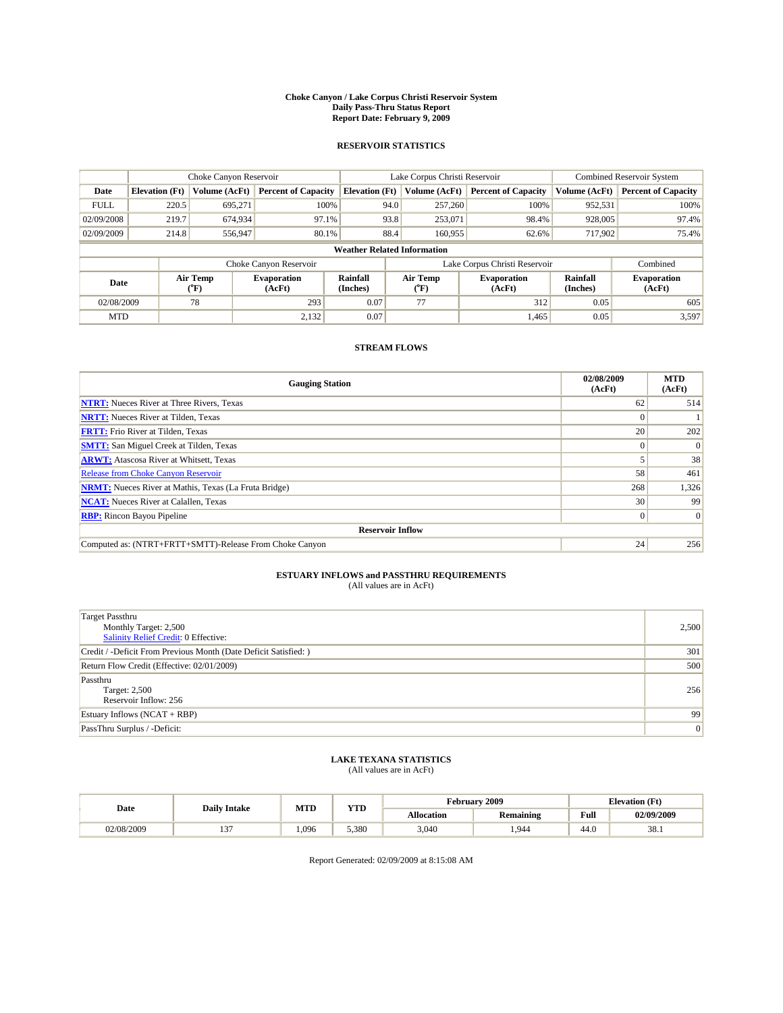#### **Choke Canyon / Lake Corpus Christi Reservoir System Daily Pass-Thru Status Report Report Date: February 9, 2009**

#### **RESERVOIR STATISTICS**

|                                    | Choke Canyon Reservoir |                  |                              |                             | Lake Corpus Christi Reservoir | <b>Combined Reservoir System</b> |                      |                              |  |
|------------------------------------|------------------------|------------------|------------------------------|-----------------------------|-------------------------------|----------------------------------|----------------------|------------------------------|--|
| Date                               | <b>Elevation</b> (Ft)  | Volume (AcFt)    | <b>Percent of Capacity</b>   | <b>Elevation</b> (Ft)       | Volume (AcFt)                 | <b>Percent of Capacity</b>       | Volume (AcFt)        | <b>Percent of Capacity</b>   |  |
| <b>FULL</b>                        | 220.5                  | 695,271          | 100%                         | 94.0                        | 257,260                       | 100%                             | 952,531              | 100%                         |  |
| 02/09/2008                         | 219.7                  | 674,934          | 97.1%                        | 93.8                        | 253,071                       | 98.4%                            | 928,005              | 97.4%                        |  |
| 02/09/2009                         | 214.8                  | 556,947          | 80.1%                        | 88.4                        | 160,955                       | 62.6%                            | 717,902              | 75.4%                        |  |
| <b>Weather Related Information</b> |                        |                  |                              |                             |                               |                                  |                      |                              |  |
|                                    |                        |                  | Choke Canyon Reservoir       |                             | Lake Corpus Christi Reservoir |                                  | Combined             |                              |  |
| Date                               |                        | Air Temp<br>(°F) | <b>Evaporation</b><br>(AcFt) | <b>Rainfall</b><br>(Inches) | Air Temp<br>(°F)              | <b>Evaporation</b><br>(AcFt)     | Rainfall<br>(Inches) | <b>Evaporation</b><br>(AcFt) |  |
| 02/08/2009                         |                        | 78               | 293                          | 0.07                        | 77                            | 312                              | 0.05                 | 605                          |  |
| <b>MTD</b>                         |                        |                  | 2,132                        | 0.07                        |                               | 1,465                            | 0.05                 | 3,597                        |  |

### **STREAM FLOWS**

| <b>Gauging Station</b>                                       | 02/08/2009<br>(AcFt) | <b>MTD</b><br>(AcFt) |  |  |  |  |  |
|--------------------------------------------------------------|----------------------|----------------------|--|--|--|--|--|
| <b>NTRT:</b> Nueces River at Three Rivers, Texas             | 62                   | 514                  |  |  |  |  |  |
| <b>NRTT:</b> Nueces River at Tilden, Texas                   |                      |                      |  |  |  |  |  |
| <b>FRTT:</b> Frio River at Tilden, Texas                     | 20                   | 202                  |  |  |  |  |  |
| <b>SMTT:</b> San Miguel Creek at Tilden, Texas               |                      | $\Omega$             |  |  |  |  |  |
| <b>ARWT:</b> Atascosa River at Whitsett, Texas               |                      | 38                   |  |  |  |  |  |
| <b>Release from Choke Canyon Reservoir</b>                   | 58                   | 461                  |  |  |  |  |  |
| <b>NRMT:</b> Nueces River at Mathis, Texas (La Fruta Bridge) | 268                  | 1,326                |  |  |  |  |  |
| <b>NCAT:</b> Nueces River at Calallen, Texas                 | 30                   | 99                   |  |  |  |  |  |
| <b>RBP:</b> Rincon Bayou Pipeline                            | $\overline{0}$       | $\Omega$             |  |  |  |  |  |
| <b>Reservoir Inflow</b>                                      |                      |                      |  |  |  |  |  |
| Computed as: (NTRT+FRTT+SMTT)-Release From Choke Canyon      | 24                   | 256                  |  |  |  |  |  |

# **ESTUARY INFLOWS and PASSTHRU REQUIREMENTS**<br>(All values are in AcFt)

| <b>Target Passthru</b><br>Monthly Target: 2,500<br>Salinity Relief Credit: 0 Effective: | 2,500 |
|-----------------------------------------------------------------------------------------|-------|
| Credit / -Deficit From Previous Month (Date Deficit Satisfied: )                        | 301   |
| Return Flow Credit (Effective: 02/01/2009)                                              | 500   |
| Passthru<br>Target: 2,500<br>Reservoir Inflow: 256                                      | 256   |
| Estuary Inflows $(NCAT + RBP)$                                                          | 99    |
| PassThru Surplus / -Deficit:                                                            | 0     |

## **LAKE TEXANA STATISTICS** (All values are in AcFt)

| Date       | <b>Daily Intake</b> | <b>MTD</b> | <b>VTPD</b><br>1 I D | rebruary *        | 2009             | <b>Elevation</b> (Ft) |            |
|------------|---------------------|------------|----------------------|-------------------|------------------|-----------------------|------------|
|            |                     |            |                      | <b>Allocation</b> | <b>Remaining</b> | Full                  | 02/09/2009 |
| 02/08/2009 | $\sim$<br>. .       | 1.096      | 5.380                | 3,040             | .944             | 44.0                  | 38.1       |

Report Generated: 02/09/2009 at 8:15:08 AM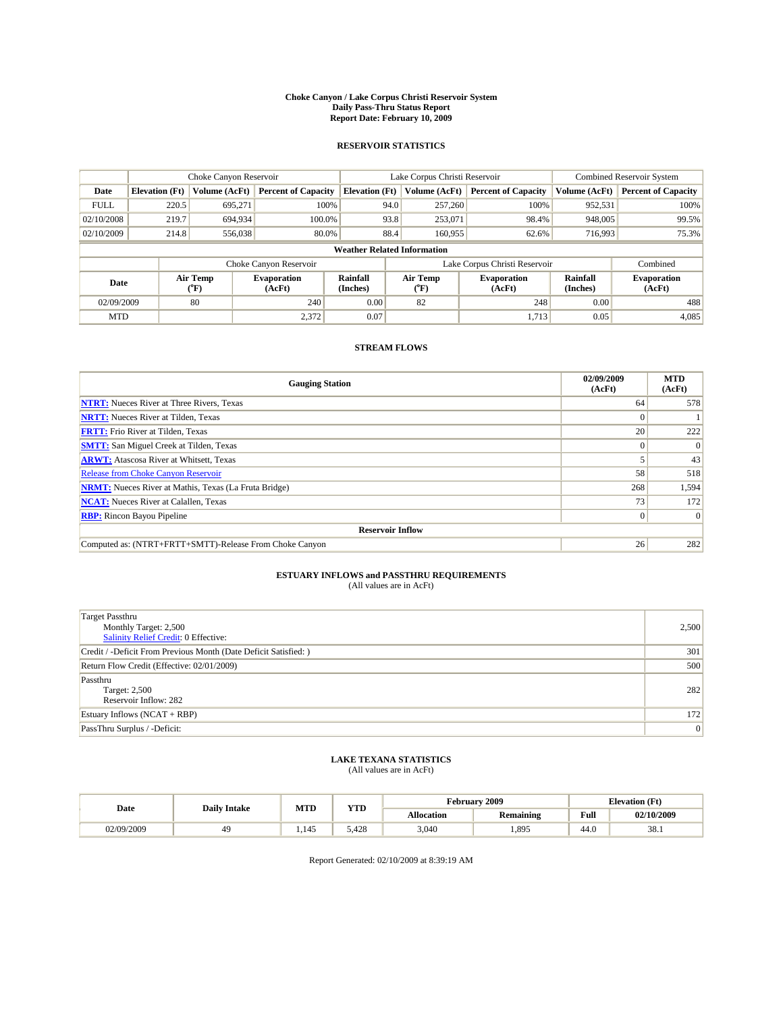#### **Choke Canyon / Lake Corpus Christi Reservoir System Daily Pass-Thru Status Report Report Date: February 10, 2009**

#### **RESERVOIR STATISTICS**

|             | Choke Canyon Reservoir             |                  |                              |                       | Lake Corpus Christi Reservoir | <b>Combined Reservoir System</b> |                      |                              |  |
|-------------|------------------------------------|------------------|------------------------------|-----------------------|-------------------------------|----------------------------------|----------------------|------------------------------|--|
| Date        | <b>Elevation</b> (Ft)              | Volume (AcFt)    | <b>Percent of Capacity</b>   | <b>Elevation</b> (Ft) | Volume (AcFt)                 | <b>Percent of Capacity</b>       | Volume (AcFt)        | <b>Percent of Capacity</b>   |  |
| <b>FULL</b> | 220.5                              | 695,271          | 100%                         | 94.0                  | 257,260                       | 100%                             | 952,531              | 100%                         |  |
| 02/10/2008  | 219.7                              | 694,934          | 100.0%                       | 93.8                  | 253,071                       | 98.4%                            | 948,005              | 99.5%                        |  |
| 02/10/2009  | 214.8                              | 556,038          | 80.0%                        | 88.4                  | 160,955                       | 62.6%                            | 716,993              | 75.3%                        |  |
|             | <b>Weather Related Information</b> |                  |                              |                       |                               |                                  |                      |                              |  |
|             |                                    |                  | Choke Canyon Reservoir       |                       | Lake Corpus Christi Reservoir |                                  | Combined             |                              |  |
| Date        |                                    | Air Temp<br>(°F) | <b>Evaporation</b><br>(AcFt) | Rainfall<br>(Inches)  | Air Temp<br>("F)              | <b>Evaporation</b><br>(AcFt)     | Rainfall<br>(Inches) | <b>Evaporation</b><br>(AcFt) |  |
| 02/09/2009  |                                    | 80               | 240                          | 0.00                  | 82                            | 248                              | 0.00                 | 488                          |  |
| <b>MTD</b>  |                                    |                  | 2,372                        | 0.07                  |                               | 1.713                            | 0.05                 | 4,085                        |  |

### **STREAM FLOWS**

| <b>Gauging Station</b>                                       | 02/09/2009<br>(AcFt) | <b>MTD</b><br>(AcFt) |  |  |  |  |  |
|--------------------------------------------------------------|----------------------|----------------------|--|--|--|--|--|
| <b>NTRT:</b> Nueces River at Three Rivers, Texas             | 64                   | 578                  |  |  |  |  |  |
| <b>NRTT:</b> Nueces River at Tilden, Texas                   | $\Omega$             |                      |  |  |  |  |  |
| <b>FRTT:</b> Frio River at Tilden, Texas                     | 20 <sub>1</sub>      | 222                  |  |  |  |  |  |
| <b>SMTT:</b> San Miguel Creek at Tilden, Texas               |                      | $\Omega$             |  |  |  |  |  |
| <b>ARWT:</b> Atascosa River at Whitsett, Texas               |                      | 43                   |  |  |  |  |  |
| <b>Release from Choke Canyon Reservoir</b>                   | 58                   | 518                  |  |  |  |  |  |
| <b>NRMT:</b> Nueces River at Mathis, Texas (La Fruta Bridge) | 268                  | 1,594                |  |  |  |  |  |
| <b>NCAT:</b> Nueces River at Calallen, Texas                 | 73                   | 172                  |  |  |  |  |  |
| <b>RBP:</b> Rincon Bayou Pipeline<br>$\overline{0}$          |                      |                      |  |  |  |  |  |
| <b>Reservoir Inflow</b>                                      |                      |                      |  |  |  |  |  |
| Computed as: (NTRT+FRTT+SMTT)-Release From Choke Canyon      | 26                   | 282                  |  |  |  |  |  |

# **ESTUARY INFLOWS and PASSTHRU REQUIREMENTS**<br>(All values are in AcFt)

| <b>Target Passthru</b><br>Monthly Target: 2,500<br>Salinity Relief Credit: 0 Effective: | 2,500 |
|-----------------------------------------------------------------------------------------|-------|
| Credit / -Deficit From Previous Month (Date Deficit Satisfied: )                        | 301   |
| Return Flow Credit (Effective: 02/01/2009)                                              | 500   |
| Passthru<br>Target: 2,500<br>Reservoir Inflow: 282                                      | 282   |
| Estuary Inflows (NCAT + RBP)                                                            | 172   |
| PassThru Surplus / -Deficit:                                                            | 0     |

## **LAKE TEXANA STATISTICS** (All values are in AcFt)

| Date       | <b>Daily Intake</b> | <b>MTD</b> | <b>VTD</b><br>1 I D | rebruary "        | 12009            | <b>Elevation</b> (Ft) |            |
|------------|---------------------|------------|---------------------|-------------------|------------------|-----------------------|------------|
|            |                     |            |                     | <b>Allocation</b> | <b>Remaining</b> | Full                  | 02/10/2009 |
| 02/09/2009 |                     | 1.149      | 5.428               | 3,040             | 1,895            | 44.0                  | 38.1       |

Report Generated: 02/10/2009 at 8:39:19 AM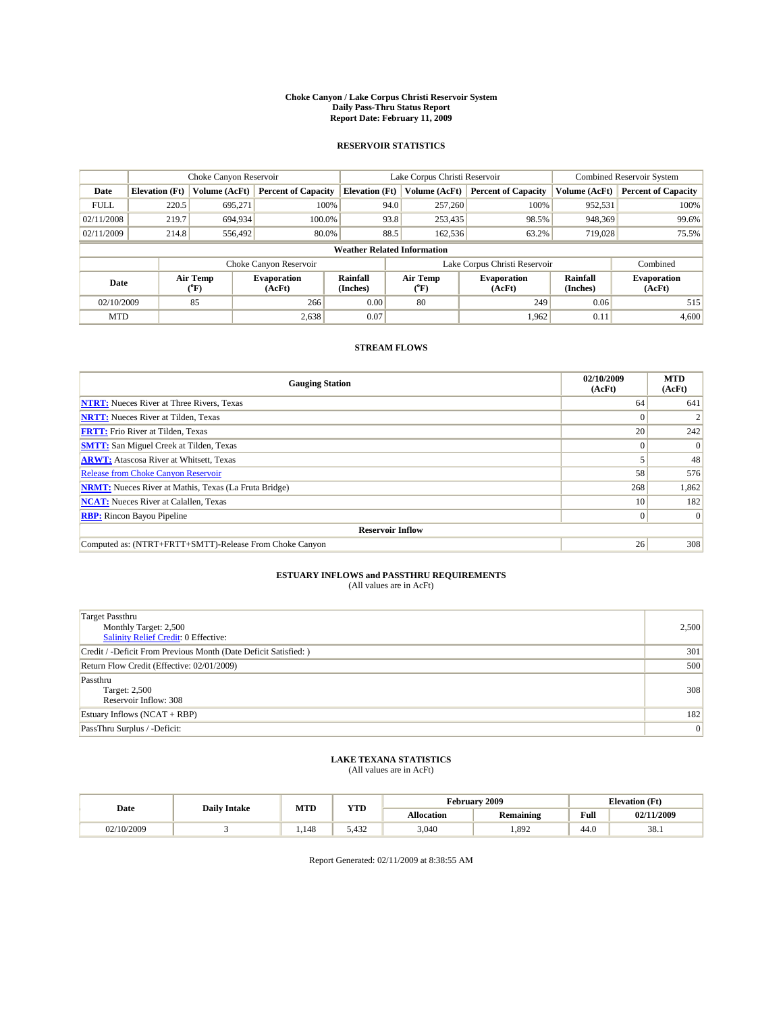#### **Choke Canyon / Lake Corpus Christi Reservoir System Daily Pass-Thru Status Report Report Date: February 11, 2009**

#### **RESERVOIR STATISTICS**

|                                    | Choke Canyon Reservoir |                  |                              |                             | Lake Corpus Christi Reservoir | <b>Combined Reservoir System</b> |                      |                              |
|------------------------------------|------------------------|------------------|------------------------------|-----------------------------|-------------------------------|----------------------------------|----------------------|------------------------------|
| Date                               | <b>Elevation</b> (Ft)  | Volume (AcFt)    | <b>Percent of Capacity</b>   | <b>Elevation</b> (Ft)       | Volume (AcFt)                 | <b>Percent of Capacity</b>       | Volume (AcFt)        | <b>Percent of Capacity</b>   |
| <b>FULL</b>                        | 220.5                  | 695,271          | 100%                         | 94.0                        | 257,260                       | 100%                             | 952,531              | 100%                         |
| 02/11/2008                         | 219.7                  | 694,934          | 100.0%                       | 93.8                        | 253,435                       | 98.5%                            | 948,369              | 99.6%                        |
| 02/11/2009                         | 214.8                  | 556,492          | 80.0%                        | 88.5                        | 162,536                       | 63.2%                            | 719,028              | 75.5%                        |
| <b>Weather Related Information</b> |                        |                  |                              |                             |                               |                                  |                      |                              |
|                                    |                        |                  | Choke Canyon Reservoir       |                             | Lake Corpus Christi Reservoir |                                  | Combined             |                              |
| Date                               |                        | Air Temp<br>(°F) | <b>Evaporation</b><br>(AcFt) | <b>Rainfall</b><br>(Inches) | Air Temp<br>(°F)              | <b>Evaporation</b><br>(AcFt)     | Rainfall<br>(Inches) | <b>Evaporation</b><br>(AcFt) |
| 02/10/2009                         |                        | 85               | 266                          | 0.00                        | 80                            | 249                              | 0.06                 | 515                          |
| <b>MTD</b>                         |                        |                  | 2,638                        | 0.07                        |                               | 1,962                            | 0.11                 | 4,600                        |

### **STREAM FLOWS**

| <b>Gauging Station</b>                                       | 02/10/2009<br>(AcFt) | <b>MTD</b><br>(AcFt) |  |  |  |  |  |
|--------------------------------------------------------------|----------------------|----------------------|--|--|--|--|--|
| <b>NTRT:</b> Nueces River at Three Rivers, Texas             | 64                   | 641                  |  |  |  |  |  |
| <b>NRTT:</b> Nueces River at Tilden, Texas                   |                      |                      |  |  |  |  |  |
| <b>FRTT:</b> Frio River at Tilden, Texas                     | 20                   | 242                  |  |  |  |  |  |
| <b>SMTT:</b> San Miguel Creek at Tilden, Texas               |                      | $\Omega$             |  |  |  |  |  |
| <b>ARWT:</b> Atascosa River at Whitsett, Texas               |                      | 48                   |  |  |  |  |  |
| <b>Release from Choke Canyon Reservoir</b>                   | 58                   | 576                  |  |  |  |  |  |
| <b>NRMT:</b> Nueces River at Mathis, Texas (La Fruta Bridge) | 268                  | 1,862                |  |  |  |  |  |
| <b>NCAT:</b> Nueces River at Calallen, Texas                 | 10 <sup>1</sup>      | 182                  |  |  |  |  |  |
| <b>RBP:</b> Rincon Bayou Pipeline<br>$\overline{0}$          |                      |                      |  |  |  |  |  |
| <b>Reservoir Inflow</b>                                      |                      |                      |  |  |  |  |  |
| Computed as: (NTRT+FRTT+SMTT)-Release From Choke Canyon      | 26                   | 308                  |  |  |  |  |  |

# **ESTUARY INFLOWS and PASSTHRU REQUIREMENTS**<br>(All values are in AcFt)

| <b>Target Passthru</b><br>Monthly Target: 2,500<br>Salinity Relief Credit: 0 Effective: | 2,500 |
|-----------------------------------------------------------------------------------------|-------|
| Credit / -Deficit From Previous Month (Date Deficit Satisfied: )                        | 301   |
| Return Flow Credit (Effective: 02/01/2009)                                              | 500   |
| Passthru<br>Target: 2,500<br>Reservoir Inflow: 308                                      | 308   |
| Estuary Inflows (NCAT + RBP)                                                            | 182   |
| PassThru Surplus / -Deficit:                                                            | 0     |

## **LAKE TEXANA STATISTICS** (All values are in AcFt)

|            | <b>Daily Intake</b> | <b>MTD</b> | <b>YTD</b> | <b>February 2009</b> |                  |                                         | <b>Elevation</b> (Ft) |
|------------|---------------------|------------|------------|----------------------|------------------|-----------------------------------------|-----------------------|
| Date       |                     |            |            | Allocation           | <b>Remaining</b> | Full<br>the contract of the contract of | 02/11/2009            |
| 02/10/2009 |                     | 1.148      | 5.432      | 3,040                | 1,892            | 44.0                                    | 38.1                  |

Report Generated: 02/11/2009 at 8:38:55 AM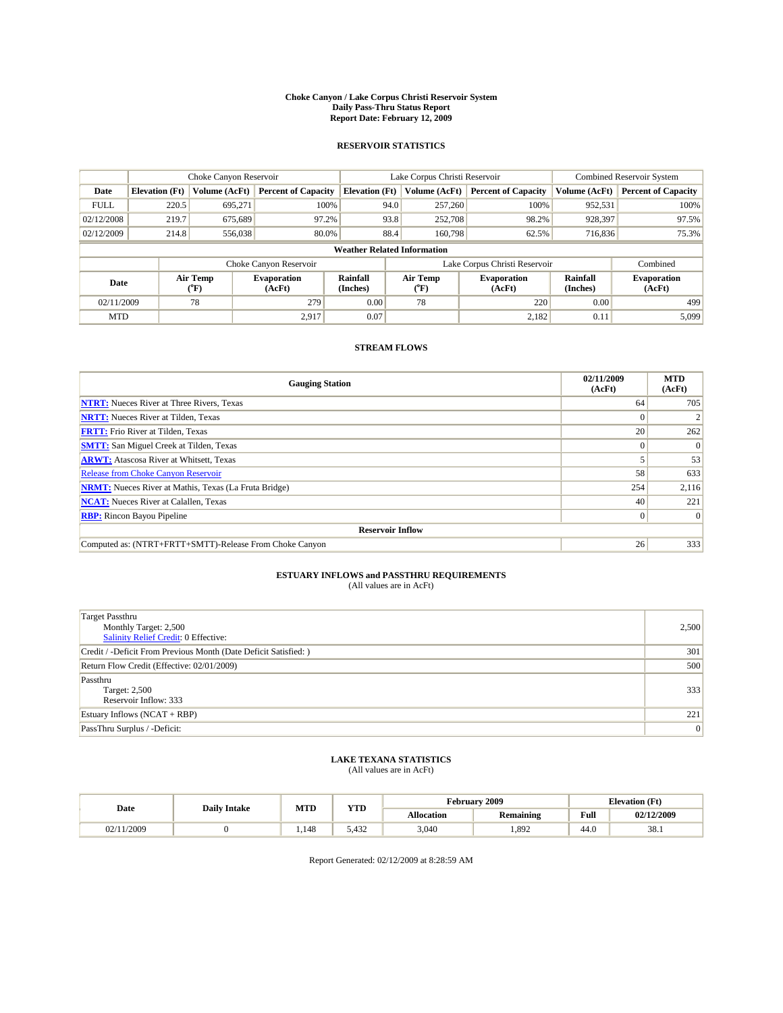#### **Choke Canyon / Lake Corpus Christi Reservoir System Daily Pass-Thru Status Report Report Date: February 12, 2009**

#### **RESERVOIR STATISTICS**

|             | Choke Canyon Reservoir             |                  |                              |                       | Lake Corpus Christi Reservoir | <b>Combined Reservoir System</b> |                      |                              |  |
|-------------|------------------------------------|------------------|------------------------------|-----------------------|-------------------------------|----------------------------------|----------------------|------------------------------|--|
| Date        | <b>Elevation</b> (Ft)              | Volume (AcFt)    | <b>Percent of Capacity</b>   | <b>Elevation</b> (Ft) | Volume (AcFt)                 | <b>Percent of Capacity</b>       | Volume (AcFt)        | <b>Percent of Capacity</b>   |  |
| <b>FULL</b> | 220.5                              | 695,271          | 100%                         | 94.0                  | 257,260                       | 100%                             | 952,531              | 100%                         |  |
| 02/12/2008  | 219.7                              | 675,689          | 97.2%                        | 93.8                  | 252,708                       | 98.2%                            | 928,397              | 97.5%                        |  |
| 02/12/2009  | 214.8                              | 556,038          | 80.0%                        | 88.4                  | 160,798                       | 62.5%                            | 716,836              | 75.3%                        |  |
|             | <b>Weather Related Information</b> |                  |                              |                       |                               |                                  |                      |                              |  |
|             |                                    |                  | Choke Canyon Reservoir       |                       | Lake Corpus Christi Reservoir |                                  | Combined             |                              |  |
| Date        |                                    | Air Temp<br>(°F) | <b>Evaporation</b><br>(AcFt) | Rainfall<br>(Inches)  | Air Temp<br>("F)              | <b>Evaporation</b><br>(AcFt)     | Rainfall<br>(Inches) | <b>Evaporation</b><br>(AcFt) |  |
| 02/11/2009  |                                    | 78               | 279                          | 0.00                  | 78                            | 220                              | 0.00                 | 499                          |  |
| <b>MTD</b>  |                                    |                  | 2.917                        | 0.07                  |                               | 2,182                            | 0.11                 | 5.099                        |  |

### **STREAM FLOWS**

| <b>Gauging Station</b>                                       | 02/11/2009<br>(AcFt) | <b>MTD</b><br>(AcFt) |  |  |  |  |  |
|--------------------------------------------------------------|----------------------|----------------------|--|--|--|--|--|
| <b>NTRT:</b> Nueces River at Three Rivers, Texas             | 64                   | 705                  |  |  |  |  |  |
| <b>NRTT:</b> Nueces River at Tilden, Texas                   | $\Omega$             |                      |  |  |  |  |  |
| <b>FRTT:</b> Frio River at Tilden, Texas                     | 20                   | 262                  |  |  |  |  |  |
| <b>SMTT:</b> San Miguel Creek at Tilden, Texas               |                      | $\Omega$             |  |  |  |  |  |
| <b>ARWT:</b> Atascosa River at Whitsett, Texas               |                      | 53                   |  |  |  |  |  |
| <b>Release from Choke Canyon Reservoir</b>                   | 58                   | 633                  |  |  |  |  |  |
| <b>NRMT:</b> Nueces River at Mathis, Texas (La Fruta Bridge) | 254                  | 2,116                |  |  |  |  |  |
| <b>NCAT:</b> Nueces River at Calallen, Texas                 | 40                   | 221                  |  |  |  |  |  |
| <b>RBP:</b> Rincon Bayou Pipeline<br>$\overline{0}$          |                      |                      |  |  |  |  |  |
| <b>Reservoir Inflow</b>                                      |                      |                      |  |  |  |  |  |
| Computed as: (NTRT+FRTT+SMTT)-Release From Choke Canyon      | 26                   | 333                  |  |  |  |  |  |

# **ESTUARY INFLOWS and PASSTHRU REQUIREMENTS**<br>(All values are in AcFt)

| <b>Target Passthru</b><br>Monthly Target: 2,500<br>Salinity Relief Credit: 0 Effective: | 2,500 |
|-----------------------------------------------------------------------------------------|-------|
| Credit / -Deficit From Previous Month (Date Deficit Satisfied: )                        | 301   |
| Return Flow Credit (Effective: 02/01/2009)                                              | 500   |
| Passthru<br>Target: 2,500<br>Reservoir Inflow: 333                                      | 333   |
| Estuary Inflows $(NCAT + RBP)$                                                          | 221   |
| PassThru Surplus / -Deficit:                                                            | 0     |

## **LAKE TEXANA STATISTICS** (All values are in AcFt)

|          | <b>Daily Intake</b> | <b>MTD</b> | <b>YTD</b> |            | <b>February 2009</b> | <b>Elevation</b> (Ft)                   |            |
|----------|---------------------|------------|------------|------------|----------------------|-----------------------------------------|------------|
| Date     |                     |            |            | Allocation | <b>Remaining</b>     | Full<br>the contract of the contract of | 02/12/2009 |
| /11/2009 |                     | 1.148      | 5.432      | 3,040      | 1,892                | 44.0                                    | 38.1       |

Report Generated: 02/12/2009 at 8:28:59 AM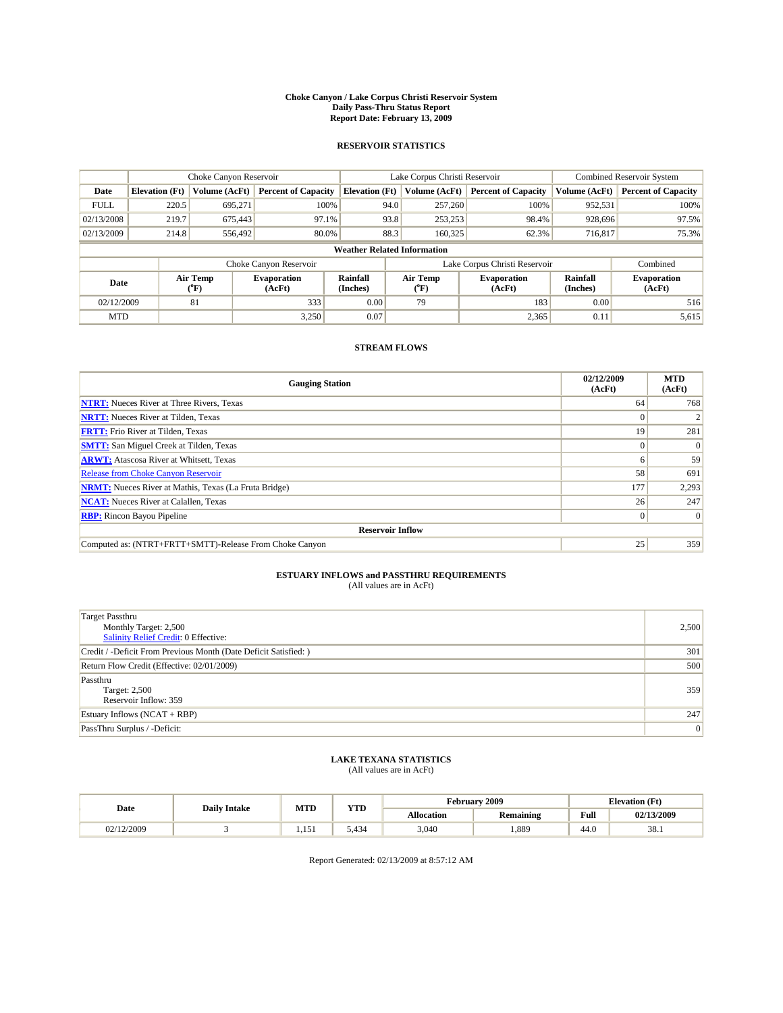#### **Choke Canyon / Lake Corpus Christi Reservoir System Daily Pass-Thru Status Report Report Date: February 13, 2009**

#### **RESERVOIR STATISTICS**

|             | Choke Canyon Reservoir             |                  |                              |                       | Lake Corpus Christi Reservoir | <b>Combined Reservoir System</b> |                      |                              |  |
|-------------|------------------------------------|------------------|------------------------------|-----------------------|-------------------------------|----------------------------------|----------------------|------------------------------|--|
| Date        | <b>Elevation</b> (Ft)              | Volume (AcFt)    | <b>Percent of Capacity</b>   | <b>Elevation</b> (Ft) | Volume (AcFt)                 | <b>Percent of Capacity</b>       | Volume (AcFt)        | <b>Percent of Capacity</b>   |  |
| <b>FULL</b> | 220.5                              | 695,271          | 100%                         | 94.0                  | 257,260                       | 100%                             | 952,531              | 100%                         |  |
| 02/13/2008  | 219.7                              | 675,443          | 97.1%                        | 93.8                  | 253,253                       | 98.4%                            | 928,696              | 97.5%                        |  |
| 02/13/2009  | 214.8                              | 556,492          | 80.0%                        | 88.3                  | 160,325                       | 62.3%                            | 716,817              | 75.3%                        |  |
|             | <b>Weather Related Information</b> |                  |                              |                       |                               |                                  |                      |                              |  |
|             |                                    |                  | Choke Canyon Reservoir       |                       | Lake Corpus Christi Reservoir |                                  | Combined             |                              |  |
| Date        |                                    | Air Temp<br>(°F) | <b>Evaporation</b><br>(AcFt) | Rainfall<br>(Inches)  | Air Temp<br>("F)              | <b>Evaporation</b><br>(AcFt)     | Rainfall<br>(Inches) | <b>Evaporation</b><br>(AcFt) |  |
| 02/12/2009  |                                    | 81               | 333                          | 0.00                  | 79                            | 183                              | 0.00                 | 516                          |  |
| <b>MTD</b>  |                                    |                  | 3.250                        | 0.07                  |                               | 2,365                            | 0.11                 | 5,615                        |  |

### **STREAM FLOWS**

| <b>Gauging Station</b>                                       | 02/12/2009<br>(AcFt) | <b>MTD</b><br>(AcFt) |  |  |  |  |  |
|--------------------------------------------------------------|----------------------|----------------------|--|--|--|--|--|
| <b>NTRT:</b> Nueces River at Three Rivers, Texas             | 64                   | 768                  |  |  |  |  |  |
| <b>NRTT:</b> Nueces River at Tilden, Texas                   | $\Omega$             |                      |  |  |  |  |  |
| <b>FRTT:</b> Frio River at Tilden, Texas                     | 19                   | 281                  |  |  |  |  |  |
| <b>SMTT:</b> San Miguel Creek at Tilden, Texas               | $\Omega$             | $\Omega$             |  |  |  |  |  |
| <b>ARWT:</b> Atascosa River at Whitsett, Texas               | <sub>0</sub>         | 59                   |  |  |  |  |  |
| <b>Release from Choke Canyon Reservoir</b>                   | 58                   | 691                  |  |  |  |  |  |
| <b>NRMT:</b> Nueces River at Mathis, Texas (La Fruta Bridge) | 177                  | 2,293                |  |  |  |  |  |
| <b>NCAT:</b> Nueces River at Calallen, Texas                 | 26                   | 247                  |  |  |  |  |  |
| <b>RBP:</b> Rincon Bayou Pipeline                            | $\overline{0}$       | $\Omega$             |  |  |  |  |  |
| <b>Reservoir Inflow</b>                                      |                      |                      |  |  |  |  |  |
| Computed as: (NTRT+FRTT+SMTT)-Release From Choke Canyon      | 25                   | 359                  |  |  |  |  |  |

# **ESTUARY INFLOWS and PASSTHRU REQUIREMENTS**<br>(All values are in AcFt)

| <b>Target Passthru</b><br>Monthly Target: 2,500<br>Salinity Relief Credit: 0 Effective: | 2,500 |
|-----------------------------------------------------------------------------------------|-------|
| Credit / -Deficit From Previous Month (Date Deficit Satisfied: )                        | 301   |
| Return Flow Credit (Effective: 02/01/2009)                                              | 500   |
| Passthru<br>Target: 2,500<br>Reservoir Inflow: 359                                      | 359   |
| Estuary Inflows $(NCAT + RBP)$                                                          | 247   |
| PassThru Surplus / -Deficit:                                                            | 0     |

## **LAKE TEXANA STATISTICS** (All values are in AcFt)

|            | <b>Daily Intake</b> | <b>MTD</b>      | <b>YTD</b> |            | <b>February 2009</b> | <b>Elevation</b> (Ft)                   |            |
|------------|---------------------|-----------------|------------|------------|----------------------|-----------------------------------------|------------|
| Date       |                     |                 |            | Allocation | <b>Remaining</b>     | Full<br>the contract of the contract of | 02/13/2009 |
| 02/12/2009 |                     | $\sim$<br>1.151 | 434ء ر     | 3,040      | 1,889                | 44.0                                    | 38.1       |

Report Generated: 02/13/2009 at 8:57:12 AM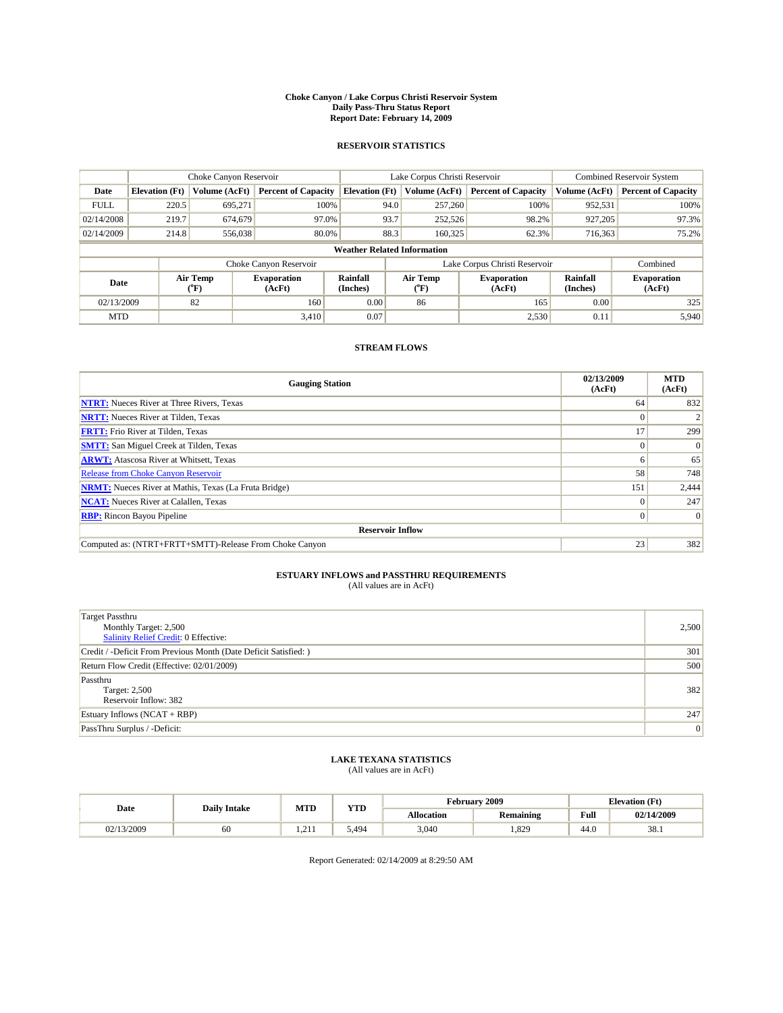#### **Choke Canyon / Lake Corpus Christi Reservoir System Daily Pass-Thru Status Report Report Date: February 14, 2009**

#### **RESERVOIR STATISTICS**

|                                    | Choke Canyon Reservoir |                  |                              |                             | Lake Corpus Christi Reservoir | <b>Combined Reservoir System</b> |                      |                              |
|------------------------------------|------------------------|------------------|------------------------------|-----------------------------|-------------------------------|----------------------------------|----------------------|------------------------------|
| Date                               | <b>Elevation</b> (Ft)  | Volume (AcFt)    | <b>Percent of Capacity</b>   | <b>Elevation</b> (Ft)       | Volume (AcFt)                 | <b>Percent of Capacity</b>       | Volume (AcFt)        | <b>Percent of Capacity</b>   |
| <b>FULL</b>                        | 220.5                  | 695,271          | 100%                         | 94.0                        | 257,260                       | 100%                             | 952,531              | 100%                         |
| 02/14/2008                         | 219.7                  | 674,679          | 97.0%                        | 93.7                        | 252,526                       | 98.2%                            | 927,205              | 97.3%                        |
| 02/14/2009                         | 214.8                  | 556,038          | 80.0%                        | 88.3                        | 160,325                       | 62.3%                            | 716,363              | 75.2%                        |
| <b>Weather Related Information</b> |                        |                  |                              |                             |                               |                                  |                      |                              |
|                                    |                        |                  | Choke Canyon Reservoir       |                             | Lake Corpus Christi Reservoir |                                  | Combined             |                              |
| Date                               |                        | Air Temp<br>(°F) | <b>Evaporation</b><br>(AcFt) | <b>Rainfall</b><br>(Inches) | Air Temp<br>(°F)              | <b>Evaporation</b><br>(AcFt)     | Rainfall<br>(Inches) | <b>Evaporation</b><br>(AcFt) |
| 02/13/2009                         |                        | 82               | 160                          | 0.00                        | 86                            | 165                              | 0.00                 | 325                          |
| <b>MTD</b>                         |                        |                  | 3.410                        | 0.07                        |                               | 2,530                            | 0.11                 | 5,940                        |

### **STREAM FLOWS**

| <b>Gauging Station</b>                                       | 02/13/2009<br>(AcFt) | <b>MTD</b><br>(AcFt) |  |  |  |  |  |
|--------------------------------------------------------------|----------------------|----------------------|--|--|--|--|--|
| <b>NTRT:</b> Nueces River at Three Rivers, Texas             | 64                   | 832                  |  |  |  |  |  |
| <b>NRTT:</b> Nueces River at Tilden, Texas                   |                      |                      |  |  |  |  |  |
| <b>FRTT:</b> Frio River at Tilden, Texas                     | 17                   | 299                  |  |  |  |  |  |
| <b>SMTT:</b> San Miguel Creek at Tilden, Texas               | $\theta$             | $\Omega$             |  |  |  |  |  |
| <b>ARWT:</b> Atascosa River at Whitsett, Texas               | <sub>0</sub>         | 65                   |  |  |  |  |  |
| <b>Release from Choke Canyon Reservoir</b>                   | 58                   | 748                  |  |  |  |  |  |
| <b>NRMT:</b> Nueces River at Mathis, Texas (La Fruta Bridge) | 151                  | 2,444                |  |  |  |  |  |
| <b>NCAT:</b> Nueces River at Calallen, Texas                 | $\Omega$             | 247                  |  |  |  |  |  |
| <b>RBP:</b> Rincon Bayou Pipeline                            | $\overline{0}$       | $\Omega$             |  |  |  |  |  |
| <b>Reservoir Inflow</b>                                      |                      |                      |  |  |  |  |  |
| Computed as: (NTRT+FRTT+SMTT)-Release From Choke Canyon      | 23                   | 382                  |  |  |  |  |  |

# **ESTUARY INFLOWS and PASSTHRU REQUIREMENTS**<br>(All values are in AcFt)

| <b>Target Passthru</b><br>Monthly Target: 2,500<br>Salinity Relief Credit: 0 Effective: | 2,500 |
|-----------------------------------------------------------------------------------------|-------|
| Credit / -Deficit From Previous Month (Date Deficit Satisfied: )                        | 301   |
| Return Flow Credit (Effective: 02/01/2009)                                              | 500   |
| Passthru<br>Target: 2,500<br>Reservoir Inflow: 382                                      | 382   |
| Estuary Inflows $(NCAT + RBP)$                                                          | 247   |
| PassThru Surplus / -Deficit:                                                            | 0     |

## **LAKE TEXANA STATISTICS** (All values are in AcFt)

|            | <b>Daily Intake</b> | <b>MTD</b> | <b>YTD</b> |            | <b>February 2009</b> | <b>Elevation</b> (Ft)                   |            |
|------------|---------------------|------------|------------|------------|----------------------|-----------------------------------------|------------|
| Date       |                     |            |            | Allocation | <b>Remaining</b>     | Full<br>the contract of the contract of | 02/14/2009 |
| 02/13/2009 | οU                  | .          | 494.ر      | 3,040      | 1,829                | 44.0                                    | 38.1       |

Report Generated: 02/14/2009 at 8:29:50 AM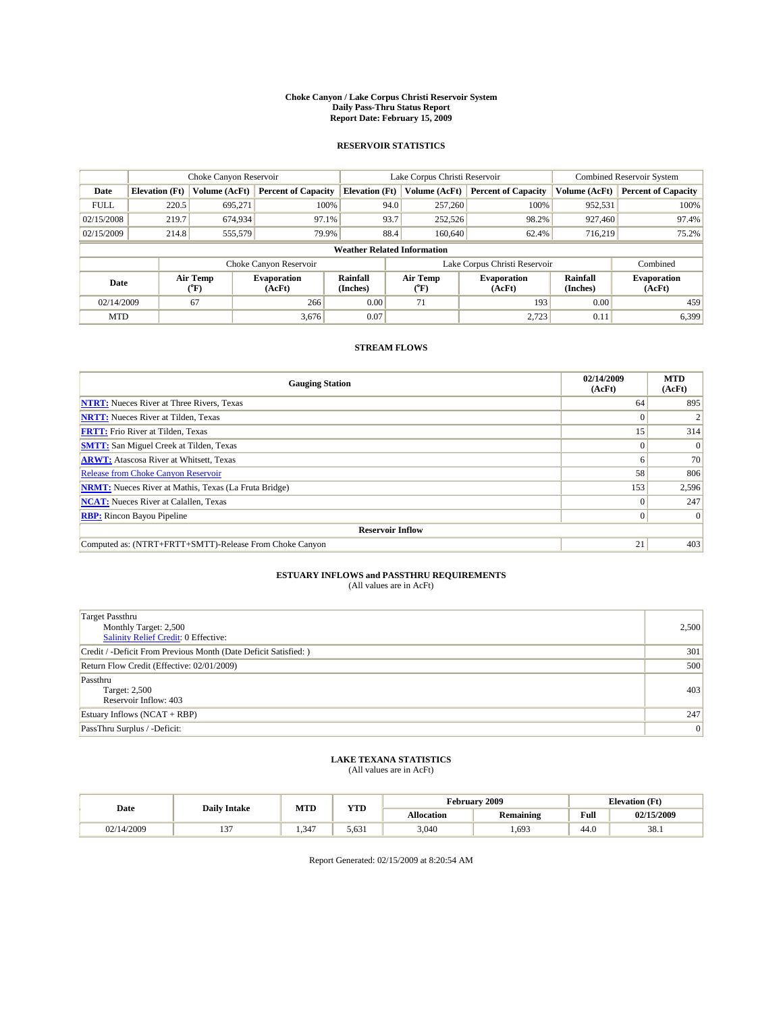#### **Choke Canyon / Lake Corpus Christi Reservoir System Daily Pass-Thru Status Report Report Date: February 15, 2009**

#### **RESERVOIR STATISTICS**

|             | Choke Canyon Reservoir             |                  |                              |                       | Lake Corpus Christi Reservoir | <b>Combined Reservoir System</b> |                      |                              |  |
|-------------|------------------------------------|------------------|------------------------------|-----------------------|-------------------------------|----------------------------------|----------------------|------------------------------|--|
| Date        | <b>Elevation</b> (Ft)              | Volume (AcFt)    | <b>Percent of Capacity</b>   | <b>Elevation</b> (Ft) | Volume (AcFt)                 | <b>Percent of Capacity</b>       | Volume (AcFt)        | <b>Percent of Capacity</b>   |  |
| <b>FULL</b> | 220.5                              | 695,271          | 100%                         | 94.0                  | 257,260                       | 100%                             | 952,531              | 100%                         |  |
| 02/15/2008  | 219.7                              | 674,934          | 97.1%                        | 93.7                  | 252,526                       | 98.2%                            | 927,460              | 97.4%                        |  |
| 02/15/2009  | 214.8                              | 555,579          | 79.9%                        | 88.4                  | 160,640                       | 62.4%                            | 716,219              | 75.2%                        |  |
|             | <b>Weather Related Information</b> |                  |                              |                       |                               |                                  |                      |                              |  |
|             |                                    |                  | Choke Canyon Reservoir       |                       | Lake Corpus Christi Reservoir |                                  | Combined             |                              |  |
| Date        |                                    | Air Temp<br>(°F) | <b>Evaporation</b><br>(AcFt) | Rainfall<br>(Inches)  | Air Temp<br>("F)              | <b>Evaporation</b><br>(AcFt)     | Rainfall<br>(Inches) | <b>Evaporation</b><br>(AcFt) |  |
| 02/14/2009  |                                    | 67               | 266                          | 0.00                  | 71                            | 193                              | 0.00                 | 459                          |  |
| <b>MTD</b>  |                                    |                  | 3.676                        | 0.07                  |                               | 2.723                            | 0.11                 | 6,399                        |  |

### **STREAM FLOWS**

| <b>Gauging Station</b>                                       | 02/14/2009<br>(AcFt) | <b>MTD</b><br>(AcFt) |  |  |  |  |  |
|--------------------------------------------------------------|----------------------|----------------------|--|--|--|--|--|
| <b>NTRT:</b> Nueces River at Three Rivers, Texas             | 64                   | 895                  |  |  |  |  |  |
| <b>NRTT:</b> Nueces River at Tilden, Texas                   |                      |                      |  |  |  |  |  |
| <b>FRTT:</b> Frio River at Tilden, Texas                     | 15 <sup>1</sup>      | 314                  |  |  |  |  |  |
| <b>SMTT:</b> San Miguel Creek at Tilden, Texas               | $\theta$             | $\Omega$             |  |  |  |  |  |
| <b>ARWT:</b> Atascosa River at Whitsett, Texas               | o                    | 70                   |  |  |  |  |  |
| <b>Release from Choke Canyon Reservoir</b>                   | 58                   | 806                  |  |  |  |  |  |
| <b>NRMT:</b> Nueces River at Mathis, Texas (La Fruta Bridge) | 153                  | 2,596                |  |  |  |  |  |
| <b>NCAT:</b> Nueces River at Calallen, Texas                 | $\theta$             | 247                  |  |  |  |  |  |
| <b>RBP:</b> Rincon Bayou Pipeline<br>$\overline{0}$          |                      |                      |  |  |  |  |  |
| <b>Reservoir Inflow</b>                                      |                      |                      |  |  |  |  |  |
| Computed as: (NTRT+FRTT+SMTT)-Release From Choke Canyon      | 21                   | 403                  |  |  |  |  |  |

# **ESTUARY INFLOWS and PASSTHRU REQUIREMENTS**<br>(All values are in AcFt)

| <b>Target Passthru</b><br>Monthly Target: 2,500<br>Salinity Relief Credit: 0 Effective: | 2,500 |
|-----------------------------------------------------------------------------------------|-------|
| Credit / -Deficit From Previous Month (Date Deficit Satisfied: )                        | 301   |
| Return Flow Credit (Effective: 02/01/2009)                                              | 500   |
| Passthru<br>Target: 2,500<br>Reservoir Inflow: 403                                      | 403   |
| Estuary Inflows (NCAT + RBP)                                                            | 247   |
| PassThru Surplus / -Deficit:                                                            | 0     |

## **LAKE TEXANA STATISTICS** (All values are in AcFt)

|            | <b>Daily Intake</b> | <b>MTD</b> | <b>YTD</b> |            | <b>February 2009</b> | <b>Elevation</b> (Ft)                   |            |
|------------|---------------------|------------|------------|------------|----------------------|-----------------------------------------|------------|
| Date       |                     |            |            | Allocation | <b>Remaining</b>     | Full<br>the contract of the contract of | 02/15/2009 |
| 02/14/2009 | $\sim$              | 4.347      | 5.631      | 3,040      | 1,693                | 44.0                                    | 38.1       |

Report Generated: 02/15/2009 at 8:20:54 AM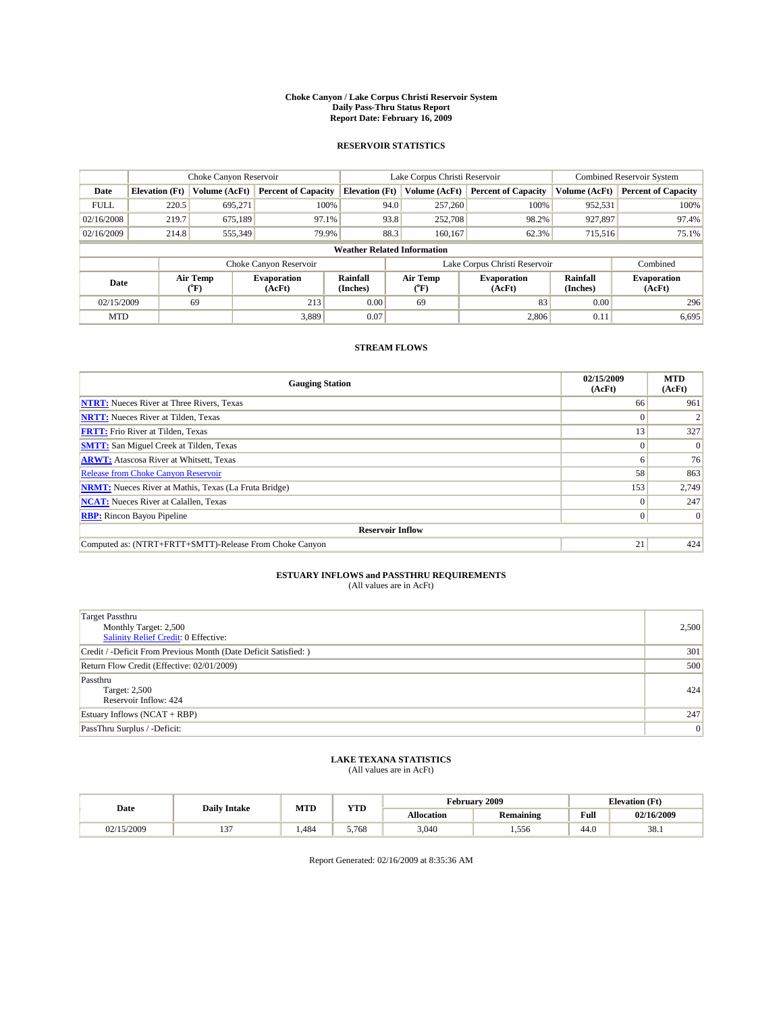#### **Choke Canyon / Lake Corpus Christi Reservoir System Daily Pass-Thru Status Report Report Date: February 16, 2009**

#### **RESERVOIR STATISTICS**

|             | Choke Canyon Reservoir             |                             |                              |                             | Lake Corpus Christi Reservoir | Combined Reservoir System     |                      |                              |  |
|-------------|------------------------------------|-----------------------------|------------------------------|-----------------------------|-------------------------------|-------------------------------|----------------------|------------------------------|--|
| Date        | <b>Elevation</b> (Ft)              | Volume (AcFt)               | <b>Percent of Capacity</b>   | <b>Elevation</b> (Ft)       | Volume (AcFt)                 | <b>Percent of Capacity</b>    | Volume (AcFt)        | <b>Percent of Capacity</b>   |  |
| <b>FULL</b> | 220.5                              | 695,271                     | 100%                         | 94.0                        | 257,260                       | 100%                          | 952,531              | 100%                         |  |
| 02/16/2008  | 219.7                              | 675.189                     | 97.1%                        | 93.8                        | 252,708                       | 98.2%                         | 927,897              | 97.4%                        |  |
| 02/16/2009  | 214.8                              | 555,349                     | 79.9%                        | 88.3                        | 160,167                       | 62.3%                         | 715,516              | 75.1%                        |  |
|             | <b>Weather Related Information</b> |                             |                              |                             |                               |                               |                      |                              |  |
|             |                                    |                             | Choke Canyon Reservoir       |                             |                               | Lake Corpus Christi Reservoir |                      | Combined                     |  |
| Date        |                                    | Air Temp<br>${}^{\circ}$ F) | <b>Evaporation</b><br>(AcFt) | <b>Rainfall</b><br>(Inches) | Air Temp<br>(°F)              | <b>Evaporation</b><br>(AcFt)  | Rainfall<br>(Inches) | <b>Evaporation</b><br>(AcFt) |  |
| 02/15/2009  |                                    | 69                          | 213                          | 0.00                        | 69                            | 83                            | 0.00                 | 296                          |  |
| <b>MTD</b>  |                                    |                             | 3,889                        | 0.07                        |                               | 2,806                         | 0.11                 | 6,695                        |  |

### **STREAM FLOWS**

| <b>Gauging Station</b>                                       | 02/15/2009<br>(AcFt) | <b>MTD</b><br>(AcFt) |  |  |  |  |  |
|--------------------------------------------------------------|----------------------|----------------------|--|--|--|--|--|
| <b>NTRT:</b> Nueces River at Three Rivers, Texas             | 66                   | 961                  |  |  |  |  |  |
| <b>NRTT:</b> Nueces River at Tilden, Texas                   |                      |                      |  |  |  |  |  |
| <b>FRTT:</b> Frio River at Tilden, Texas                     | 13                   | 327                  |  |  |  |  |  |
| <b>SMTT:</b> San Miguel Creek at Tilden, Texas               | $\theta$             | $\Omega$             |  |  |  |  |  |
| <b>ARWT:</b> Atascosa River at Whitsett, Texas               | <sub>0</sub>         | 76                   |  |  |  |  |  |
| <b>Release from Choke Canyon Reservoir</b>                   | 58                   | 863                  |  |  |  |  |  |
| <b>NRMT:</b> Nueces River at Mathis, Texas (La Fruta Bridge) | 153                  | 2,749                |  |  |  |  |  |
| <b>NCAT:</b> Nueces River at Calallen, Texas                 | $\Omega$             | 247                  |  |  |  |  |  |
| <b>RBP:</b> Rincon Bayou Pipeline                            |                      |                      |  |  |  |  |  |
| <b>Reservoir Inflow</b>                                      |                      |                      |  |  |  |  |  |
| Computed as: (NTRT+FRTT+SMTT)-Release From Choke Canyon      | 21                   | 424                  |  |  |  |  |  |

# **ESTUARY INFLOWS and PASSTHRU REQUIREMENTS**<br>(All values are in AcFt)

| <b>Target Passthru</b><br>Monthly Target: 2,500<br>Salinity Relief Credit: 0 Effective: | 2,500 |
|-----------------------------------------------------------------------------------------|-------|
| Credit / -Deficit From Previous Month (Date Deficit Satisfied: )                        | 301   |
| Return Flow Credit (Effective: 02/01/2009)                                              | 500   |
| Passthru<br>Target: 2,500<br>Reservoir Inflow: 424                                      | 424   |
| Estuary Inflows $(NCAT + RBP)$                                                          | 247   |
| PassThru Surplus / -Deficit:                                                            | 0     |

## **LAKE TEXANA STATISTICS** (All values are in AcFt)

|            | <b>Daily Intake</b> | <b>MTD</b> | <b>YTD</b> |                   | <b>February 2009</b> | <b>Elevation</b> (Ft) |            |
|------------|---------------------|------------|------------|-------------------|----------------------|-----------------------|------------|
| Date       |                     |            |            | <b>Allocation</b> | <b>Remaining</b>     | Full                  | 02/16/2009 |
| 02/15/2009 | $\sim$<br>. .       | . 484      | 5.768      | 3,040             | 1,556                | 44.0                  | 38.1       |

Report Generated: 02/16/2009 at 8:35:36 AM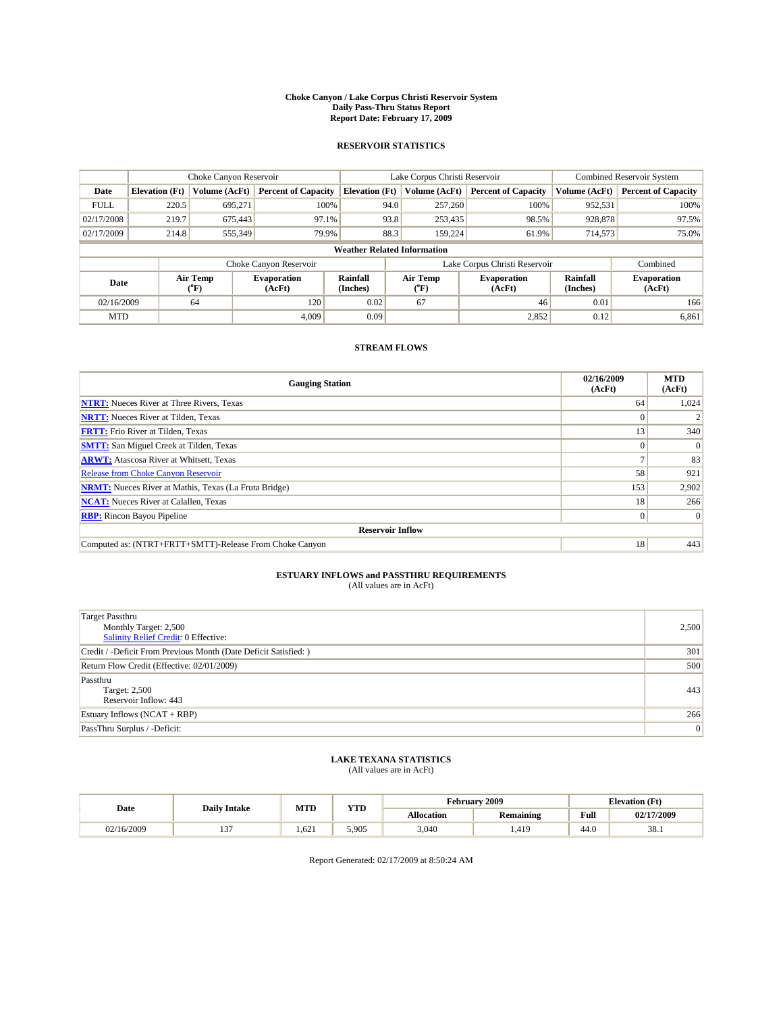#### **Choke Canyon / Lake Corpus Christi Reservoir System Daily Pass-Thru Status Report Report Date: February 17, 2009**

#### **RESERVOIR STATISTICS**

|             | Choke Canyon Reservoir             |                  |                              |                             | Lake Corpus Christi Reservoir | <b>Combined Reservoir System</b> |                      |                              |  |
|-------------|------------------------------------|------------------|------------------------------|-----------------------------|-------------------------------|----------------------------------|----------------------|------------------------------|--|
| Date        | <b>Elevation</b> (Ft)              | Volume (AcFt)    | <b>Percent of Capacity</b>   | <b>Elevation</b> (Ft)       | Volume (AcFt)                 | <b>Percent of Capacity</b>       | Volume (AcFt)        | <b>Percent of Capacity</b>   |  |
| <b>FULL</b> | 220.5                              | 695,271          | 100%                         | 94.0                        | 257,260                       | 100%                             | 952,531              | 100%                         |  |
| 02/17/2008  | 219.7                              | 675,443          | 97.1%                        | 93.8                        | 253,435                       | 98.5%                            | 928,878              | 97.5%                        |  |
| 02/17/2009  | 214.8                              | 555,349          | 79.9%                        | 88.3                        | 159,224                       | 61.9%                            | 714,573              | 75.0%                        |  |
|             | <b>Weather Related Information</b> |                  |                              |                             |                               |                                  |                      |                              |  |
|             |                                    |                  | Choke Canyon Reservoir       |                             |                               | Lake Corpus Christi Reservoir    |                      | Combined                     |  |
| Date        |                                    | Air Temp<br>(°F) | <b>Evaporation</b><br>(AcFt) | <b>Rainfall</b><br>(Inches) | Air Temp<br>(°F)              | <b>Evaporation</b><br>(AcFt)     | Rainfall<br>(Inches) | <b>Evaporation</b><br>(AcFt) |  |
| 02/16/2009  |                                    | 64               | 120                          | 0.02                        | 67                            | 46                               | 0.01                 | 166                          |  |
| <b>MTD</b>  |                                    |                  | 4.009                        | 0.09                        |                               | 2,852                            | 0.12                 | 6,861                        |  |

### **STREAM FLOWS**

| <b>Gauging Station</b>                                       | 02/16/2009<br>(AcFt) | <b>MTD</b><br>(AcFt) |  |  |  |  |  |
|--------------------------------------------------------------|----------------------|----------------------|--|--|--|--|--|
| <b>NTRT:</b> Nueces River at Three Rivers, Texas             | 64                   | 1,024                |  |  |  |  |  |
| <b>NRTT:</b> Nueces River at Tilden, Texas                   |                      |                      |  |  |  |  |  |
| <b>FRTT:</b> Frio River at Tilden, Texas                     | 13                   | 340                  |  |  |  |  |  |
| <b>SMTT:</b> San Miguel Creek at Tilden, Texas               |                      | $\Omega$             |  |  |  |  |  |
| <b>ARWT:</b> Atascosa River at Whitsett, Texas               |                      | 83                   |  |  |  |  |  |
| <b>Release from Choke Canyon Reservoir</b>                   | 58                   | 921                  |  |  |  |  |  |
| <b>NRMT:</b> Nueces River at Mathis, Texas (La Fruta Bridge) | 153                  | 2,902                |  |  |  |  |  |
| <b>NCAT:</b> Nueces River at Calallen, Texas                 | 18 <sup>1</sup>      | 266                  |  |  |  |  |  |
| <b>RBP:</b> Rincon Bayou Pipeline                            | $\overline{0}$       | $\Omega$             |  |  |  |  |  |
| <b>Reservoir Inflow</b>                                      |                      |                      |  |  |  |  |  |
| Computed as: (NTRT+FRTT+SMTT)-Release From Choke Canyon      | 18                   | 443                  |  |  |  |  |  |

# **ESTUARY INFLOWS and PASSTHRU REQUIREMENTS**<br>(All values are in AcFt)

| <b>Target Passthru</b><br>Monthly Target: 2,500<br>Salinity Relief Credit: 0 Effective: | 2,500 |
|-----------------------------------------------------------------------------------------|-------|
| Credit / -Deficit From Previous Month (Date Deficit Satisfied: )                        | 301   |
| Return Flow Credit (Effective: 02/01/2009)                                              | 500   |
| Passthru<br>Target: 2,500<br>Reservoir Inflow: 443                                      | 443   |
| Estuary Inflows $(NCAT + RBP)$                                                          | 266   |
| PassThru Surplus / -Deficit:                                                            | 0     |

## **LAKE TEXANA STATISTICS** (All values are in AcFt)

|            | <b>Daily Intake</b> | MTD   | <b>YTD</b> |            | <b>February 2009</b> | <b>Elevation</b> (Ft)                   |            |
|------------|---------------------|-------|------------|------------|----------------------|-----------------------------------------|------------|
| Date       |                     |       |            | Allocation | <b>Remaining</b>     | Full<br>the contract of the contract of | 02/17/2009 |
| 02/16/2009 | $\sim$              | 1.621 | 5.905      | 3,040      | 1,419                | 44.0                                    | 38.1       |

Report Generated: 02/17/2009 at 8:50:24 AM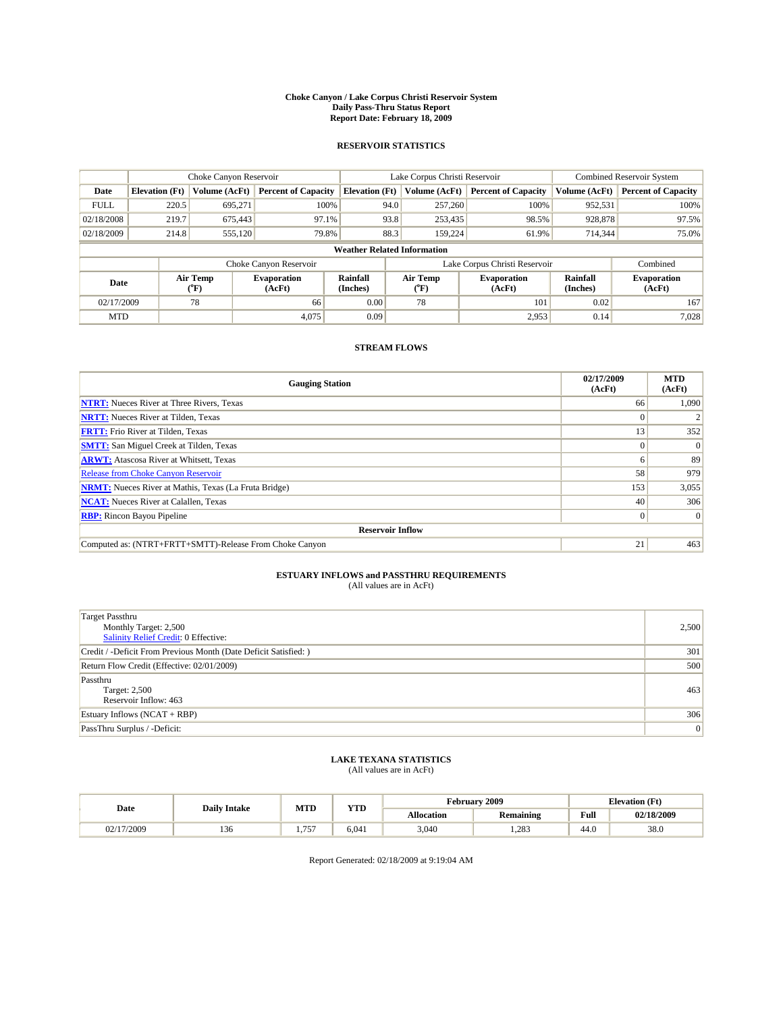#### **Choke Canyon / Lake Corpus Christi Reservoir System Daily Pass-Thru Status Report Report Date: February 18, 2009**

#### **RESERVOIR STATISTICS**

|             | Choke Canyon Reservoir             |                  |                              |                             | Lake Corpus Christi Reservoir | <b>Combined Reservoir System</b> |                      |                              |  |
|-------------|------------------------------------|------------------|------------------------------|-----------------------------|-------------------------------|----------------------------------|----------------------|------------------------------|--|
| Date        | <b>Elevation</b> (Ft)              | Volume (AcFt)    | <b>Percent of Capacity</b>   | <b>Elevation</b> (Ft)       | Volume (AcFt)                 | <b>Percent of Capacity</b>       | Volume (AcFt)        | <b>Percent of Capacity</b>   |  |
| <b>FULL</b> | 220.5                              | 695,271          | 100%                         | 94.0                        | 257,260                       | 100%                             | 952,531              | 100%                         |  |
| 02/18/2008  | 219.7                              | 675,443          | 97.1%                        | 93.8                        | 253,435                       | 98.5%                            | 928,878              | 97.5%                        |  |
| 02/18/2009  | 214.8                              | 555,120          | 79.8%                        | 88.3                        | 159,224                       | 61.9%                            | 714,344              | 75.0%                        |  |
|             | <b>Weather Related Information</b> |                  |                              |                             |                               |                                  |                      |                              |  |
|             |                                    |                  | Choke Canyon Reservoir       |                             |                               | Lake Corpus Christi Reservoir    |                      | Combined                     |  |
| Date        |                                    | Air Temp<br>(°F) | <b>Evaporation</b><br>(AcFt) | <b>Rainfall</b><br>(Inches) | Air Temp<br>(°F)              | <b>Evaporation</b><br>(AcFt)     | Rainfall<br>(Inches) | <b>Evaporation</b><br>(AcFt) |  |
| 02/17/2009  |                                    | 78               | 66                           | 0.00                        | 78                            | 101                              | 0.02                 | 167                          |  |
| <b>MTD</b>  |                                    |                  | 4,075                        | 0.09                        |                               | 2,953                            | 0.14                 | 7.028                        |  |

### **STREAM FLOWS**

| <b>Gauging Station</b>                                       | 02/17/2009<br>(AcFt) | <b>MTD</b><br>(AcFt) |  |  |  |  |  |
|--------------------------------------------------------------|----------------------|----------------------|--|--|--|--|--|
| <b>NTRT:</b> Nueces River at Three Rivers, Texas             | 66                   | 1,090                |  |  |  |  |  |
| <b>NRTT:</b> Nueces River at Tilden, Texas                   |                      |                      |  |  |  |  |  |
| <b>FRTT:</b> Frio River at Tilden, Texas                     | 13                   | 352                  |  |  |  |  |  |
| <b>SMTT:</b> San Miguel Creek at Tilden, Texas               | $\theta$             | $\Omega$             |  |  |  |  |  |
| <b>ARWT:</b> Atascosa River at Whitsett, Texas               | o                    | 89                   |  |  |  |  |  |
| <b>Release from Choke Canyon Reservoir</b>                   | 58                   | 979                  |  |  |  |  |  |
| <b>NRMT:</b> Nueces River at Mathis, Texas (La Fruta Bridge) | 153                  | 3,055                |  |  |  |  |  |
| <b>NCAT:</b> Nueces River at Calallen, Texas                 | 40                   | 306                  |  |  |  |  |  |
| <b>RBP:</b> Rincon Bayou Pipeline<br>$\vert 0 \vert$         |                      |                      |  |  |  |  |  |
| <b>Reservoir Inflow</b>                                      |                      |                      |  |  |  |  |  |
| Computed as: (NTRT+FRTT+SMTT)-Release From Choke Canyon      | 21                   | 463                  |  |  |  |  |  |

# **ESTUARY INFLOWS and PASSTHRU REQUIREMENTS**<br>(All values are in AcFt)

| <b>Target Passthru</b><br>Monthly Target: 2,500<br>Salinity Relief Credit: 0 Effective: | 2,500 |
|-----------------------------------------------------------------------------------------|-------|
| Credit / -Deficit From Previous Month (Date Deficit Satisfied: )                        | 301   |
| Return Flow Credit (Effective: 02/01/2009)                                              | 500   |
| Passthru<br>Target: 2,500<br>Reservoir Inflow: 463                                      | 463   |
| Estuary Inflows $(NCAT + RBP)$                                                          | 306   |
| PassThru Surplus / -Deficit:                                                            | 0     |

## **LAKE TEXANA STATISTICS** (All values are in AcFt)

|          | <b>Daily Intake</b> | MTD                   | <b>XZOTE</b><br>. | rebruarv          | 2009             | <b>Elevation</b> (Ft) |            |
|----------|---------------------|-----------------------|-------------------|-------------------|------------------|-----------------------|------------|
| Date     |                     |                       |                   | <b>Allocation</b> | <b>Remaining</b> | Full                  | 02/18/2009 |
| /17/2009 | 150                 | 757<br>. . <i>. .</i> | 6.041             | 3,040             | 1.283            | 44.U                  | 38.0       |

Report Generated: 02/18/2009 at 9:19:04 AM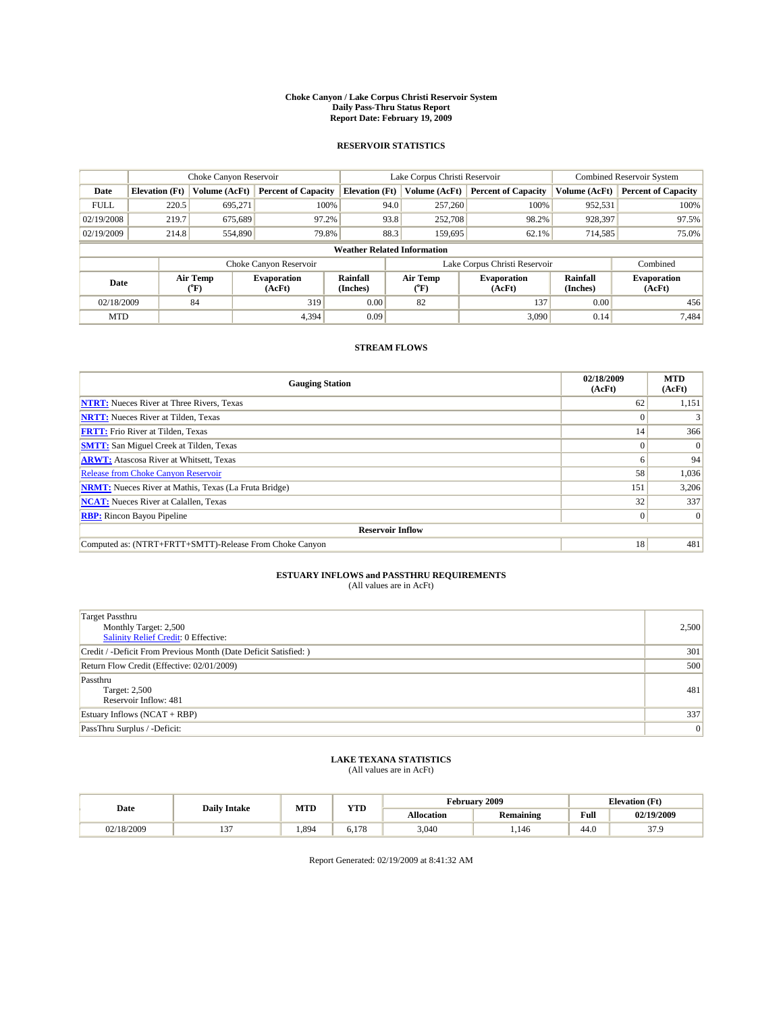#### **Choke Canyon / Lake Corpus Christi Reservoir System Daily Pass-Thru Status Report Report Date: February 19, 2009**

#### **RESERVOIR STATISTICS**

|                                    | Choke Canyon Reservoir |                  |                              |                             | Lake Corpus Christi Reservoir | <b>Combined Reservoir System</b> |                      |                              |
|------------------------------------|------------------------|------------------|------------------------------|-----------------------------|-------------------------------|----------------------------------|----------------------|------------------------------|
| Date                               | <b>Elevation</b> (Ft)  | Volume (AcFt)    | <b>Percent of Capacity</b>   | <b>Elevation</b> (Ft)       | Volume (AcFt)                 | <b>Percent of Capacity</b>       | Volume (AcFt)        | <b>Percent of Capacity</b>   |
| <b>FULL</b>                        | 220.5                  | 695,271          | 100%                         | 94.0                        | 257,260                       | 100%                             | 952,531              | 100%                         |
| 02/19/2008                         | 219.7                  | 675,689          | 97.2%                        | 93.8                        | 252,708                       | 98.2%                            | 928,397              | 97.5%                        |
| 02/19/2009                         | 214.8                  | 554,890          | 79.8%                        | 88.3                        | 159,695                       | 62.1%                            | 714,585              | 75.0%                        |
| <b>Weather Related Information</b> |                        |                  |                              |                             |                               |                                  |                      |                              |
|                                    |                        |                  | Choke Canyon Reservoir       |                             | Lake Corpus Christi Reservoir |                                  | Combined             |                              |
| Date                               |                        | Air Temp<br>(°F) | <b>Evaporation</b><br>(AcFt) | <b>Rainfall</b><br>(Inches) | Air Temp<br>(°F)              | <b>Evaporation</b><br>(AcFt)     | Rainfall<br>(Inches) | <b>Evaporation</b><br>(AcFt) |
| 02/18/2009                         |                        | 84               | 319                          | 0.00                        | 82                            | 137                              | 0.00                 | 456                          |
| <b>MTD</b>                         |                        |                  | 4,394                        | 0.09                        |                               | 3.090                            | 0.14                 | 7,484                        |

### **STREAM FLOWS**

| <b>Gauging Station</b>                                       | 02/18/2009<br>(AcFt) | <b>MTD</b><br>(AcFt) |  |  |  |  |  |
|--------------------------------------------------------------|----------------------|----------------------|--|--|--|--|--|
| <b>NTRT:</b> Nueces River at Three Rivers, Texas             | 62                   | 1,151                |  |  |  |  |  |
| <b>NRTT:</b> Nueces River at Tilden, Texas                   |                      |                      |  |  |  |  |  |
| <b>FRTT:</b> Frio River at Tilden, Texas                     | 14                   | 366                  |  |  |  |  |  |
| <b>SMTT:</b> San Miguel Creek at Tilden, Texas               | $\theta$             | $\Omega$             |  |  |  |  |  |
| <b>ARWT:</b> Atascosa River at Whitsett, Texas               | <sub>0</sub>         | 94                   |  |  |  |  |  |
| <b>Release from Choke Canyon Reservoir</b>                   | 58                   | 1,036                |  |  |  |  |  |
| <b>NRMT:</b> Nueces River at Mathis, Texas (La Fruta Bridge) | 151                  | 3,206                |  |  |  |  |  |
| <b>NCAT:</b> Nueces River at Calallen, Texas                 | 32                   | 337                  |  |  |  |  |  |
| <b>RBP:</b> Rincon Bayou Pipeline                            | $\overline{0}$       | $\Omega$             |  |  |  |  |  |
| <b>Reservoir Inflow</b>                                      |                      |                      |  |  |  |  |  |
| Computed as: (NTRT+FRTT+SMTT)-Release From Choke Canyon      | 18                   | 481                  |  |  |  |  |  |

# **ESTUARY INFLOWS and PASSTHRU REQUIREMENTS**<br>(All values are in AcFt)

| <b>Target Passthru</b><br>Monthly Target: 2,500<br>Salinity Relief Credit: 0 Effective: | 2,500 |
|-----------------------------------------------------------------------------------------|-------|
| Credit / -Deficit From Previous Month (Date Deficit Satisfied: )                        | 301   |
| Return Flow Credit (Effective: 02/01/2009)                                              | 500   |
| Passthru<br>Target: 2,500<br>Reservoir Inflow: 481                                      | 481   |
| Estuary Inflows $(NCAT + RBP)$                                                          | 337   |
| PassThru Surplus / -Deficit:                                                            | 0     |

## **LAKE TEXANA STATISTICS** (All values are in AcFt)

|            | <b>Daily Intake</b> | <b>MTD</b> | <b>YTD</b> |                   | <b>February 2009</b> | <b>Elevation</b> (Ft) |            |
|------------|---------------------|------------|------------|-------------------|----------------------|-----------------------|------------|
| Date       |                     |            |            | <b>Allocation</b> | <b>Remaining</b>     | Full                  | 02/19/2009 |
| 02/18/2009 | $\sim$<br>. .       | .894       | 6.178      | 3,040             | .146                 | 44.0                  | 37.9       |

Report Generated: 02/19/2009 at 8:41:32 AM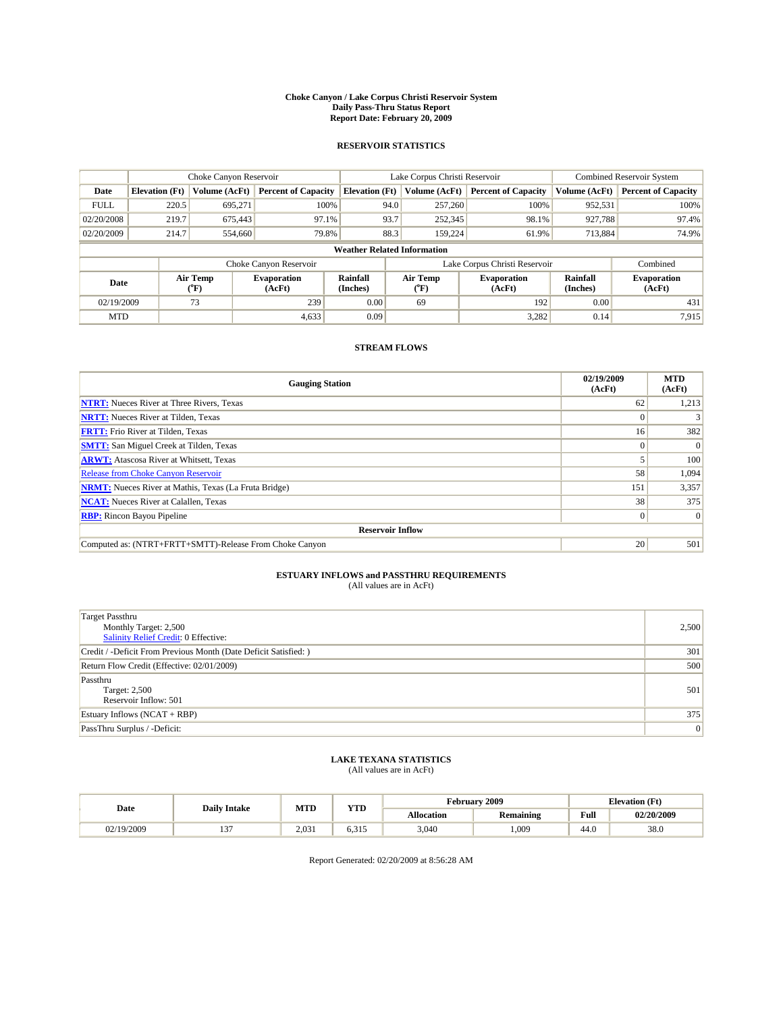#### **Choke Canyon / Lake Corpus Christi Reservoir System Daily Pass-Thru Status Report Report Date: February 20, 2009**

#### **RESERVOIR STATISTICS**

|                                    | Choke Canyon Reservoir |                  |                              |                             | Lake Corpus Christi Reservoir | <b>Combined Reservoir System</b> |                      |                              |
|------------------------------------|------------------------|------------------|------------------------------|-----------------------------|-------------------------------|----------------------------------|----------------------|------------------------------|
| Date                               | <b>Elevation</b> (Ft)  | Volume (AcFt)    | <b>Percent of Capacity</b>   | <b>Elevation</b> (Ft)       | Volume (AcFt)                 | <b>Percent of Capacity</b>       | Volume (AcFt)        | <b>Percent of Capacity</b>   |
| <b>FULL</b>                        | 220.5                  | 695,271          | 100%                         | 94.0                        | 257,260                       | 100%                             | 952,531              | 100%                         |
| 02/20/2008                         | 219.7                  | 675,443          | 97.1%                        | 93.7                        | 252,345                       | 98.1%                            | 927,788              | 97.4%                        |
| 02/20/2009                         | 214.7                  | 554,660          | 79.8%                        | 88.3                        | 159,224                       | 61.9%                            | 713,884              | 74.9%                        |
| <b>Weather Related Information</b> |                        |                  |                              |                             |                               |                                  |                      |                              |
|                                    |                        |                  | Choke Canyon Reservoir       |                             | Lake Corpus Christi Reservoir |                                  | Combined             |                              |
| Date                               |                        | Air Temp<br>(°F) | <b>Evaporation</b><br>(AcFt) | <b>Rainfall</b><br>(Inches) | Air Temp<br>(°F)              | <b>Evaporation</b><br>(AcFt)     | Rainfall<br>(Inches) | <b>Evaporation</b><br>(AcFt) |
| 02/19/2009                         |                        | 73               | 239                          | 0.00                        | 69                            | 192                              | 0.00                 | 431                          |
| <b>MTD</b>                         |                        |                  | 4,633                        | 0.09                        |                               | 3,282                            | 0.14                 | 7,915                        |

### **STREAM FLOWS**

| <b>Gauging Station</b>                                       | 02/19/2009<br>(AcFt) | <b>MTD</b><br>(AcFt) |  |  |  |  |  |
|--------------------------------------------------------------|----------------------|----------------------|--|--|--|--|--|
| <b>NTRT:</b> Nueces River at Three Rivers, Texas             | 62                   | 1,213                |  |  |  |  |  |
| <b>NRTT:</b> Nueces River at Tilden, Texas                   | $\Omega$             |                      |  |  |  |  |  |
| <b>FRTT:</b> Frio River at Tilden, Texas                     | 16                   | 382                  |  |  |  |  |  |
| <b>SMTT:</b> San Miguel Creek at Tilden, Texas               |                      | $\Omega$             |  |  |  |  |  |
| <b>ARWT:</b> Atascosa River at Whitsett, Texas               |                      | 100                  |  |  |  |  |  |
| <b>Release from Choke Canyon Reservoir</b>                   | 58                   | 1,094                |  |  |  |  |  |
| <b>NRMT:</b> Nueces River at Mathis, Texas (La Fruta Bridge) | 151                  | 3,357                |  |  |  |  |  |
| <b>NCAT:</b> Nueces River at Calallen, Texas                 | 38                   | 375                  |  |  |  |  |  |
| <b>RBP:</b> Rincon Bayou Pipeline                            | $\overline{0}$       | $\Omega$             |  |  |  |  |  |
| <b>Reservoir Inflow</b>                                      |                      |                      |  |  |  |  |  |
| Computed as: (NTRT+FRTT+SMTT)-Release From Choke Canyon      | 20                   | 501                  |  |  |  |  |  |

# **ESTUARY INFLOWS and PASSTHRU REQUIREMENTS**<br>(All values are in AcFt)

| <b>Target Passthru</b><br>Monthly Target: 2,500<br>Salinity Relief Credit: 0 Effective: | 2,500 |
|-----------------------------------------------------------------------------------------|-------|
| Credit / -Deficit From Previous Month (Date Deficit Satisfied: )                        | 301   |
| Return Flow Credit (Effective: 02/01/2009)                                              | 500   |
| Passthru<br>Target: 2,500<br>Reservoir Inflow: 501                                      | 501   |
| Estuary Inflows $(NCAT + RBP)$                                                          | 375   |
| PassThru Surplus / -Deficit:                                                            | 0     |

## **LAKE TEXANA STATISTICS** (All values are in AcFt)

|            | <b>Daily Intake</b> | <b>MTD</b> | <b>YTD</b>   | rebruary "        | 12009            | <b>Elevation</b> (Ft) |            |
|------------|---------------------|------------|--------------|-------------------|------------------|-----------------------|------------|
| Date       |                     |            |              | <b>Allocation</b> | <b>Remaining</b> | Full                  | 02/20/2009 |
| 02/19/2009 | $\sim$<br>. .       | 2.031      | 221<br>6.312 | 3,040             | .009             | 44.0                  | 38.0       |

Report Generated: 02/20/2009 at 8:56:28 AM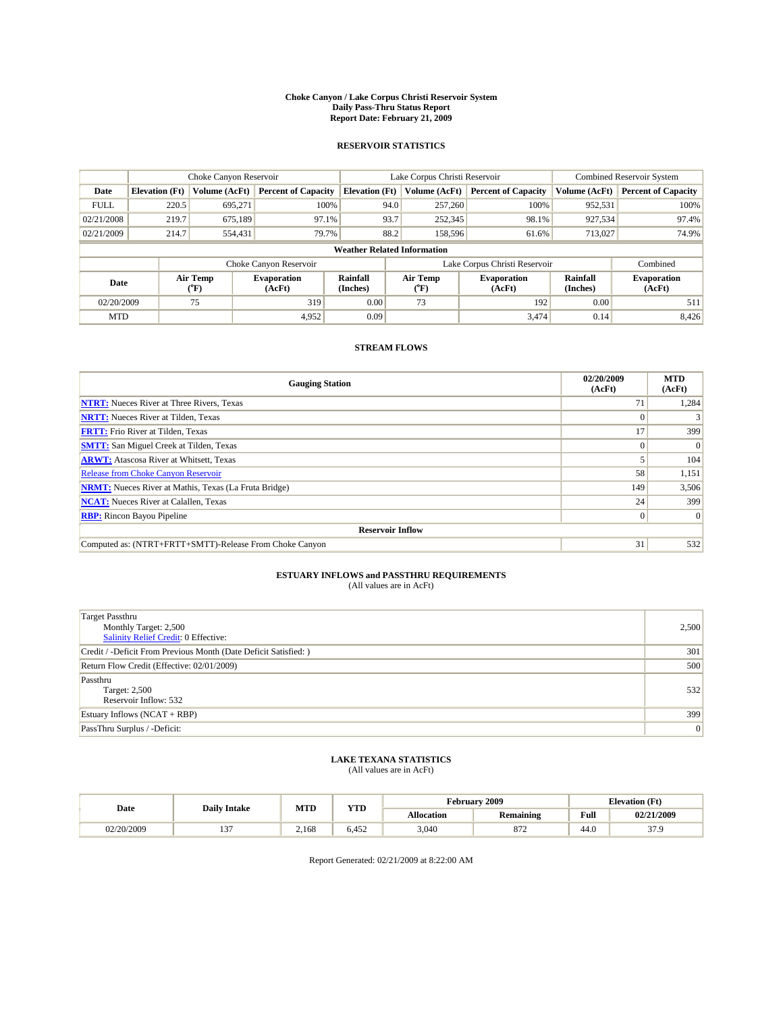#### **Choke Canyon / Lake Corpus Christi Reservoir System Daily Pass-Thru Status Report Report Date: February 21, 2009**

#### **RESERVOIR STATISTICS**

|                                    | Choke Canyon Reservoir |                             |                              |                             | Lake Corpus Christi Reservoir | <b>Combined Reservoir System</b> |                      |                              |
|------------------------------------|------------------------|-----------------------------|------------------------------|-----------------------------|-------------------------------|----------------------------------|----------------------|------------------------------|
| Date                               | <b>Elevation</b> (Ft)  | Volume (AcFt)               | <b>Percent of Capacity</b>   | <b>Elevation</b> (Ft)       | Volume (AcFt)                 | <b>Percent of Capacity</b>       | Volume (AcFt)        | <b>Percent of Capacity</b>   |
| <b>FULL</b>                        | 220.5                  | 695,271                     | 100%                         |                             | 257,260<br>94.0               | 100%                             | 952,531              | 100%                         |
| 02/21/2008                         | 219.7                  | 675.189                     | 97.1%                        |                             | 93.7<br>252,345               | 98.1%                            | 927,534              | 97.4%                        |
| 02/21/2009                         | 214.7                  | 554,431                     | 79.7%                        |                             | 88.2<br>158,596               | 61.6%                            | 713,027              | 74.9%                        |
| <b>Weather Related Information</b> |                        |                             |                              |                             |                               |                                  |                      |                              |
|                                    |                        |                             | Choke Canyon Reservoir       |                             | Lake Corpus Christi Reservoir |                                  | Combined             |                              |
| Date                               |                        | Air Temp<br>${}^{\circ}$ F) | <b>Evaporation</b><br>(AcFt) | <b>Rainfall</b><br>(Inches) | Air Temp<br>(°F)              | <b>Evaporation</b><br>(AcFt)     | Rainfall<br>(Inches) | <b>Evaporation</b><br>(AcFt) |
| 02/20/2009                         |                        | 75                          | 319                          | 0.00                        | 73                            | 192                              | 0.00                 | 511                          |
| <b>MTD</b>                         |                        |                             | 4,952                        | 0.09                        |                               | 3,474                            | 0.14                 | 8,426                        |

### **STREAM FLOWS**

| <b>Gauging Station</b>                                       | 02/20/2009<br>(AcFt) | <b>MTD</b><br>(AcFt) |  |  |  |  |  |
|--------------------------------------------------------------|----------------------|----------------------|--|--|--|--|--|
| <b>NTRT:</b> Nueces River at Three Rivers, Texas             | 71                   | 1,284                |  |  |  |  |  |
| <b>NRTT:</b> Nueces River at Tilden, Texas                   |                      |                      |  |  |  |  |  |
| <b>FRTT:</b> Frio River at Tilden, Texas                     |                      | 399                  |  |  |  |  |  |
| <b>SMTT:</b> San Miguel Creek at Tilden, Texas               | $\theta$             | $\Omega$             |  |  |  |  |  |
| <b>ARWT:</b> Atascosa River at Whitsett, Texas               |                      | 104                  |  |  |  |  |  |
| <b>Release from Choke Canyon Reservoir</b>                   | 58                   | 1,151                |  |  |  |  |  |
| <b>NRMT:</b> Nueces River at Mathis, Texas (La Fruta Bridge) | 149                  | 3,506                |  |  |  |  |  |
| <b>NCAT:</b> Nueces River at Calallen, Texas                 | 24 <sub>1</sub>      | 399                  |  |  |  |  |  |
| <b>RBP:</b> Rincon Bayou Pipeline                            | $\overline{0}$       | $\Omega$             |  |  |  |  |  |
| <b>Reservoir Inflow</b>                                      |                      |                      |  |  |  |  |  |
| Computed as: (NTRT+FRTT+SMTT)-Release From Choke Canyon      | 31                   | 532                  |  |  |  |  |  |

# **ESTUARY INFLOWS and PASSTHRU REQUIREMENTS**<br>(All values are in AcFt)

| <b>Target Passthru</b><br>Monthly Target: 2,500<br>Salinity Relief Credit: 0 Effective: | 2,500 |
|-----------------------------------------------------------------------------------------|-------|
| Credit / -Deficit From Previous Month (Date Deficit Satisfied: )                        | 301   |
| Return Flow Credit (Effective: 02/01/2009)                                              | 500   |
| Passthru<br>Target: 2,500<br>Reservoir Inflow: 532                                      | 532   |
| Estuary Inflows $(NCAT + RBP)$                                                          | 399   |
| PassThru Surplus / -Deficit:                                                            | 0     |

## **LAKE TEXANA STATISTICS** (All values are in AcFt)

|            | <b>Daily Intake</b> | MTD   | <b>XZOD</b><br>1 I.D | <i>F</i> ebruarv  | 12009                  | <b>Elevation</b> (Ft)                   |             |
|------------|---------------------|-------|----------------------|-------------------|------------------------|-----------------------------------------|-------------|
| Date       |                     |       |                      | <b>Allocation</b> | <b>Remaining</b>       | Full<br>the contract of the contract of | 02/21/2009  |
| 02/20/2009 | $-$                 | 2.168 | 6.452                | 3.040             | $\Omega$<br>$\delta/2$ | 44.0                                    | 270<br>JI.J |

Report Generated: 02/21/2009 at 8:22:00 AM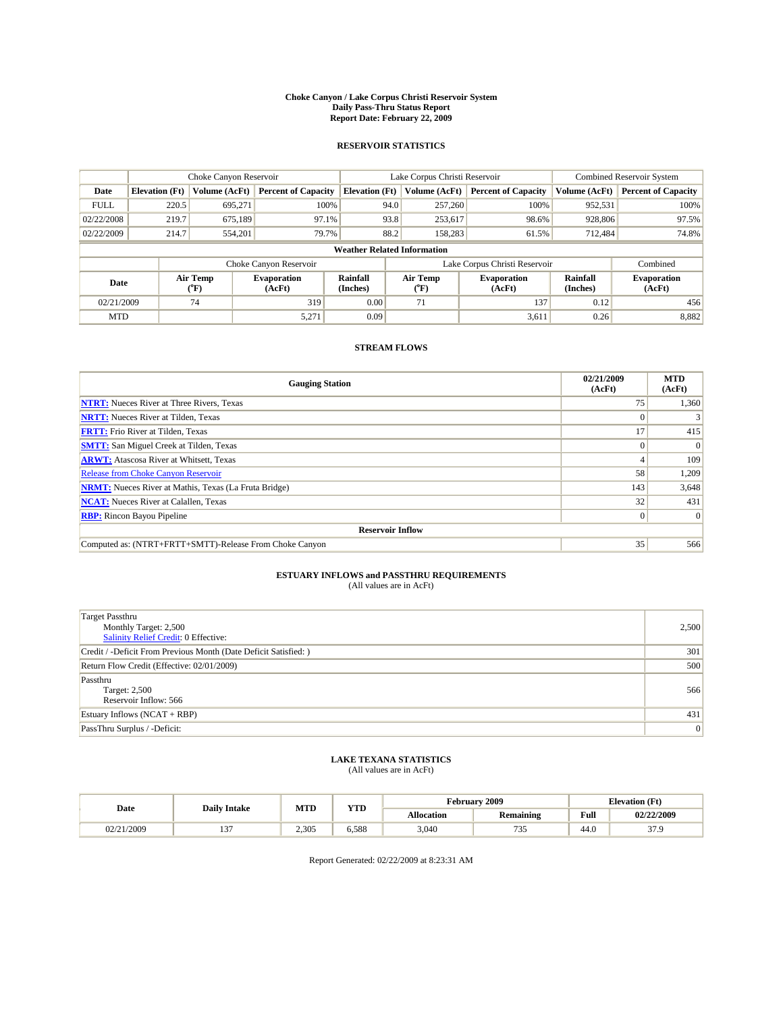#### **Choke Canyon / Lake Corpus Christi Reservoir System Daily Pass-Thru Status Report Report Date: February 22, 2009**

#### **RESERVOIR STATISTICS**

|             | Choke Canyon Reservoir             |                             |                              |                             | Lake Corpus Christi Reservoir | Combined Reservoir System     |                      |                              |  |
|-------------|------------------------------------|-----------------------------|------------------------------|-----------------------------|-------------------------------|-------------------------------|----------------------|------------------------------|--|
| Date        | <b>Elevation</b> (Ft)              | Volume (AcFt)               | <b>Percent of Capacity</b>   | <b>Elevation</b> (Ft)       | Volume (AcFt)                 | <b>Percent of Capacity</b>    | Volume (AcFt)        | <b>Percent of Capacity</b>   |  |
| <b>FULL</b> | 220.5                              | 695,271                     | 100%                         | 94.0                        | 257,260                       | 100%                          | 952,531              | 100%                         |  |
| 02/22/2008  | 219.7                              | 675.189                     | 97.1%                        | 93.8                        | 253,617                       | 98.6%                         | 928,806              | 97.5%                        |  |
| 02/22/2009  | 214.7                              | 554,201                     | 79.7%                        | 88.2                        | 158.283                       | 61.5%                         | 712.484              | 74.8%                        |  |
|             | <b>Weather Related Information</b> |                             |                              |                             |                               |                               |                      |                              |  |
|             |                                    |                             | Choke Canyon Reservoir       |                             |                               | Lake Corpus Christi Reservoir |                      | Combined                     |  |
| Date        |                                    | Air Temp<br>${}^{\circ}$ F) | <b>Evaporation</b><br>(AcFt) | <b>Rainfall</b><br>(Inches) | Air Temp<br>(°F)              | <b>Evaporation</b><br>(AcFt)  | Rainfall<br>(Inches) | <b>Evaporation</b><br>(AcFt) |  |
| 02/21/2009  |                                    | 74                          | 319                          | 0.00                        | 71                            | 137                           | 0.12                 | 456                          |  |
| <b>MTD</b>  |                                    |                             | 5,271                        | 0.09                        |                               | 3,611                         | 0.26                 | 8,882                        |  |

### **STREAM FLOWS**

| <b>Gauging Station</b>                                       | 02/21/2009<br>(AcFt) | <b>MTD</b><br>(AcFt) |  |  |  |  |
|--------------------------------------------------------------|----------------------|----------------------|--|--|--|--|
| <b>NTRT:</b> Nueces River at Three Rivers, Texas             | 75                   | 1,360                |  |  |  |  |
| <b>NRTT:</b> Nueces River at Tilden, Texas                   |                      |                      |  |  |  |  |
| <b>FRTT:</b> Frio River at Tilden, Texas                     | 17                   | 415                  |  |  |  |  |
| <b>SMTT:</b> San Miguel Creek at Tilden, Texas               |                      | $\Omega$             |  |  |  |  |
| <b>ARWT:</b> Atascosa River at Whitsett, Texas               |                      | 109                  |  |  |  |  |
| <b>Release from Choke Canyon Reservoir</b>                   | 58                   | 1,209                |  |  |  |  |
| <b>NRMT:</b> Nueces River at Mathis, Texas (La Fruta Bridge) | 143                  | 3,648                |  |  |  |  |
| <b>NCAT:</b> Nueces River at Calallen, Texas                 | 32                   | 431                  |  |  |  |  |
| <b>RBP:</b> Rincon Bayou Pipeline                            | $\overline{0}$       | $\Omega$             |  |  |  |  |
| <b>Reservoir Inflow</b>                                      |                      |                      |  |  |  |  |
| Computed as: (NTRT+FRTT+SMTT)-Release From Choke Canyon      | 35                   | 566                  |  |  |  |  |

# **ESTUARY INFLOWS and PASSTHRU REQUIREMENTS**<br>(All values are in AcFt)

| <b>Target Passthru</b><br>Monthly Target: 2,500<br>Salinity Relief Credit: 0 Effective: | 2,500 |
|-----------------------------------------------------------------------------------------|-------|
| Credit / -Deficit From Previous Month (Date Deficit Satisfied: )                        | 301   |
| Return Flow Credit (Effective: 02/01/2009)                                              | 500   |
| Passthru<br>Target: 2,500<br>Reservoir Inflow: 566                                      | 566   |
| Estuary Inflows $(NCAT + RBP)$                                                          | 431   |
| PassThru Surplus / -Deficit:                                                            | 0     |

## **LAKE TEXANA STATISTICS** (All values are in AcFt)

|         | <b>Daily Intake</b> | MTD   | <b>XZOD</b><br>1 I.D |                   | <b>February 2009</b> | <b>Elevation</b> (Ft)                   |             |
|---------|---------------------|-------|----------------------|-------------------|----------------------|-----------------------------------------|-------------|
| Date    |                     |       |                      | <b>Allocation</b> | <b>Remaining</b>     | Full<br>the contract of the contract of | 02/22/2009  |
| !1/2009 | $-$                 | 2.305 | 5.588                | 3.040             | $\sim$<br>ں ر        | 44.0                                    | 270<br>JI.J |

Report Generated: 02/22/2009 at 8:23:31 AM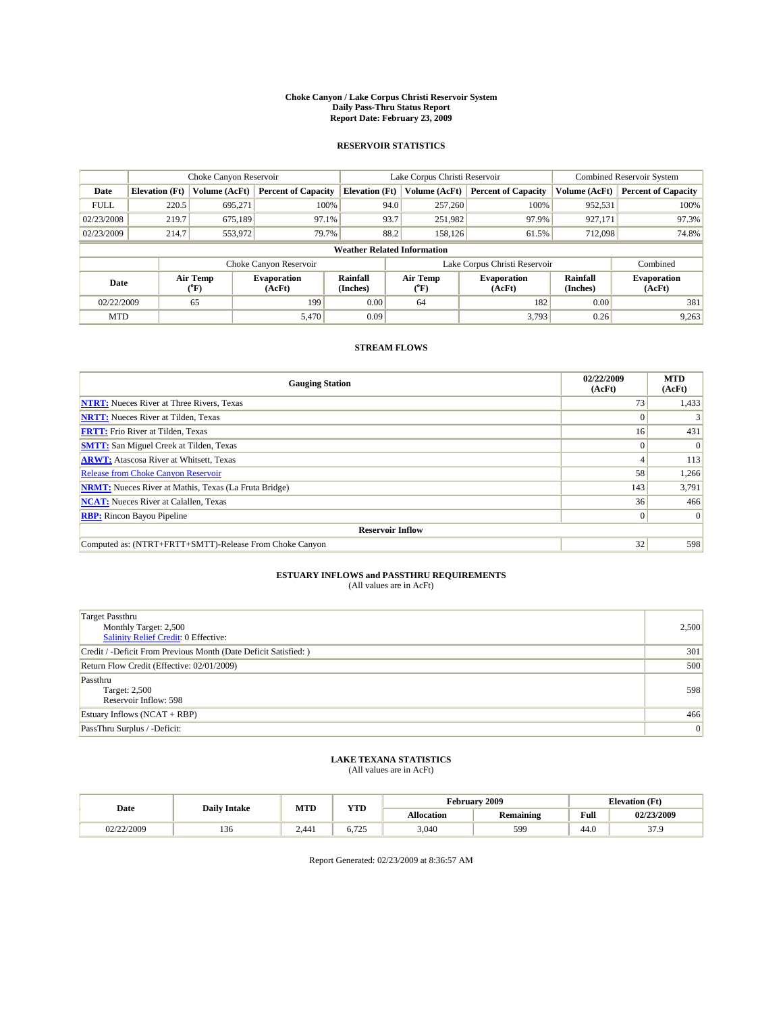#### **Choke Canyon / Lake Corpus Christi Reservoir System Daily Pass-Thru Status Report Report Date: February 23, 2009**

#### **RESERVOIR STATISTICS**

|             | Choke Canyon Reservoir             |                          |                              |                       | Lake Corpus Christi Reservoir |                  |                               |                      | <b>Combined Reservoir System</b> |  |
|-------------|------------------------------------|--------------------------|------------------------------|-----------------------|-------------------------------|------------------|-------------------------------|----------------------|----------------------------------|--|
| Date        | <b>Elevation</b> (Ft)              | Volume (AcFt)            | <b>Percent of Capacity</b>   | <b>Elevation (Ft)</b> |                               | Volume (AcFt)    | <b>Percent of Capacity</b>    | Volume (AcFt)        | <b>Percent of Capacity</b>       |  |
| <b>FULL</b> | 220.5                              | 695,271                  | 100%                         |                       | 94.0                          | 257,260          | 100%                          | 952,531              | 100%                             |  |
| 02/23/2008  | 219.7                              | 675.189                  | 97.1%                        |                       | 93.7                          | 251,982          | 97.9%                         | 927,171              | 97.3%                            |  |
| 02/23/2009  | 214.7                              | 553,972                  | 79.7%                        |                       | 88.2                          | 158.126          | 61.5%                         | 712,098              | 74.8%                            |  |
|             | <b>Weather Related Information</b> |                          |                              |                       |                               |                  |                               |                      |                                  |  |
|             |                                    |                          | Choke Canyon Reservoir       |                       |                               |                  | Lake Corpus Christi Reservoir |                      | Combined                         |  |
| Date        |                                    | Air Temp<br>$\rm ^{o}F)$ | <b>Evaporation</b><br>(AcFt) | Rainfall<br>(Inches)  |                               | Air Temp<br>("F) | <b>Evaporation</b><br>(AcFt)  | Rainfall<br>(Inches) | <b>Evaporation</b><br>(AcFt)     |  |
| 02/22/2009  |                                    | 65                       | 199                          | 0.00                  |                               | 64               | 182                           | 0.00                 | 381                              |  |
| <b>MTD</b>  |                                    |                          | 5,470                        | 0.09                  |                               |                  | 3,793                         | 0.26                 | 9,263                            |  |

### **STREAM FLOWS**

| <b>Gauging Station</b>                                       | 02/22/2009<br>(AcFt) | <b>MTD</b><br>(AcFt) |  |  |  |  |
|--------------------------------------------------------------|----------------------|----------------------|--|--|--|--|
| <b>NTRT:</b> Nueces River at Three Rivers, Texas             | 73                   | 1,433                |  |  |  |  |
| <b>NRTT:</b> Nueces River at Tilden, Texas                   |                      |                      |  |  |  |  |
| <b>FRTT:</b> Frio River at Tilden, Texas                     | 16 <sup>1</sup>      | 431                  |  |  |  |  |
| <b>SMTT:</b> San Miguel Creek at Tilden, Texas               | $\theta$             | $\Omega$             |  |  |  |  |
| <b>ARWT:</b> Atascosa River at Whitsett, Texas               |                      | 113                  |  |  |  |  |
| <b>Release from Choke Canyon Reservoir</b>                   | 58                   | 1,266                |  |  |  |  |
| <b>NRMT:</b> Nueces River at Mathis, Texas (La Fruta Bridge) | 143                  | 3,791                |  |  |  |  |
| <b>NCAT:</b> Nueces River at Calallen, Texas                 | 36                   | 466                  |  |  |  |  |
| <b>RBP:</b> Rincon Bayou Pipeline                            | $\vert 0 \vert$      | $\Omega$             |  |  |  |  |
| <b>Reservoir Inflow</b>                                      |                      |                      |  |  |  |  |
| Computed as: (NTRT+FRTT+SMTT)-Release From Choke Canyon      | 32                   | 598                  |  |  |  |  |

# **ESTUARY INFLOWS and PASSTHRU REQUIREMENTS**<br>(All values are in AcFt)

| <b>Target Passthru</b><br>Monthly Target: 2,500<br>Salinity Relief Credit: 0 Effective: | 2,500 |
|-----------------------------------------------------------------------------------------|-------|
| Credit / -Deficit From Previous Month (Date Deficit Satisfied: )                        | 301   |
| Return Flow Credit (Effective: 02/01/2009)                                              | 500   |
| Passthru<br>Target: 2,500<br>Reservoir Inflow: 598                                      | 598   |
| Estuary Inflows (NCAT + RBP)                                                            | 466   |
| PassThru Surplus / -Deficit:                                                            | 0     |

## **LAKE TEXANA STATISTICS** (All values are in AcFt)

| Date       | <b>Daily Intake</b> | MTD   | <b>YTD</b>              |                   | <b>February 2009</b> | <b>Elevation</b> (Ft) |               |
|------------|---------------------|-------|-------------------------|-------------------|----------------------|-----------------------|---------------|
|            |                     |       |                         | <b>Allocation</b> | <b>Remaining</b>     | Full                  | 02/23/2009    |
| 02/22/2009 | $\sim$<br>1.30      | 2.441 | $\pi$<br>∪. <i>⊥ ∠.</i> | 3,040             | 599                  | 44.0                  | 270<br>J I .J |

Report Generated: 02/23/2009 at 8:36:57 AM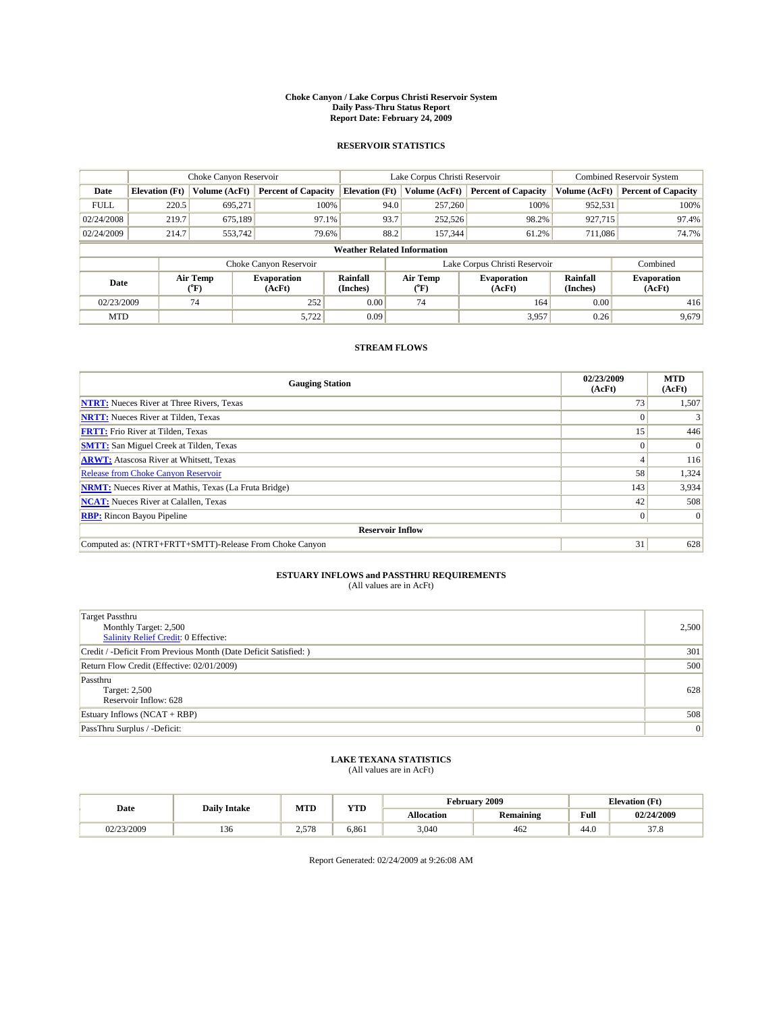#### **Choke Canyon / Lake Corpus Christi Reservoir System Daily Pass-Thru Status Report Report Date: February 24, 2009**

#### **RESERVOIR STATISTICS**

|             | Choke Canyon Reservoir             |                  |                              |                       | Lake Corpus Christi Reservoir | <b>Combined Reservoir System</b> |                      |                              |  |  |
|-------------|------------------------------------|------------------|------------------------------|-----------------------|-------------------------------|----------------------------------|----------------------|------------------------------|--|--|
| Date        | <b>Elevation</b> (Ft)              | Volume (AcFt)    | <b>Percent of Capacity</b>   | <b>Elevation</b> (Ft) | Volume (AcFt)                 | <b>Percent of Capacity</b>       | Volume (AcFt)        | <b>Percent of Capacity</b>   |  |  |
| <b>FULL</b> | 220.5                              | 695,271          | 100%                         | 94.0                  | 257,260                       | 100%                             | 952,531              | 100%                         |  |  |
| 02/24/2008  | 219.7                              | 675,189          | 97.1%                        | 93.7                  | 252,526                       | 98.2%                            | 927,715              | 97.4%                        |  |  |
| 02/24/2009  | 214.7                              | 553,742          | 79.6%                        | 88.2                  | 157,344                       | 61.2%                            | 711,086              | 74.7%                        |  |  |
|             | <b>Weather Related Information</b> |                  |                              |                       |                               |                                  |                      |                              |  |  |
|             |                                    |                  | Choke Canyon Reservoir       |                       |                               | Lake Corpus Christi Reservoir    |                      | Combined                     |  |  |
| Date        |                                    | Air Temp<br>(°F) | <b>Evaporation</b><br>(AcFt) | Rainfall<br>(Inches)  | Air Temp<br>("F)              | <b>Evaporation</b><br>(AcFt)     | Rainfall<br>(Inches) | <b>Evaporation</b><br>(AcFt) |  |  |
| 02/23/2009  |                                    | 74               | 252                          | 0.00                  | 74                            | 164                              | 0.00                 | 416                          |  |  |
| <b>MTD</b>  |                                    |                  | 5,722                        | 0.09                  |                               | 3,957                            | 0.26                 | 9,679                        |  |  |

### **STREAM FLOWS**

| <b>Gauging Station</b>                                       | 02/23/2009<br>(AcFt) | <b>MTD</b><br>(AcFt) |  |  |  |  |
|--------------------------------------------------------------|----------------------|----------------------|--|--|--|--|
| <b>NTRT:</b> Nueces River at Three Rivers, Texas             | 73                   | 1,507                |  |  |  |  |
| <b>NRTT:</b> Nueces River at Tilden, Texas                   |                      |                      |  |  |  |  |
| <b>FRTT:</b> Frio River at Tilden, Texas                     | 15'                  | 446                  |  |  |  |  |
| <b>SMTT:</b> San Miguel Creek at Tilden, Texas               | $\Omega$             | $\Omega$             |  |  |  |  |
| <b>ARWT:</b> Atascosa River at Whitsett, Texas               |                      | 116                  |  |  |  |  |
| <b>Release from Choke Canyon Reservoir</b>                   | 58                   | 1,324                |  |  |  |  |
| <b>NRMT:</b> Nueces River at Mathis, Texas (La Fruta Bridge) | 143                  | 3,934                |  |  |  |  |
| <b>NCAT:</b> Nueces River at Calallen, Texas                 | 42                   | 508                  |  |  |  |  |
| <b>RBP:</b> Rincon Bayou Pipeline                            | $\overline{0}$       | $\Omega$             |  |  |  |  |
| <b>Reservoir Inflow</b>                                      |                      |                      |  |  |  |  |
| Computed as: (NTRT+FRTT+SMTT)-Release From Choke Canyon      | 31                   | 628                  |  |  |  |  |

# **ESTUARY INFLOWS and PASSTHRU REQUIREMENTS**<br>(All values are in AcFt)

| <b>Target Passthru</b><br>Monthly Target: 2,500<br>Salinity Relief Credit: 0 Effective: | 2,500 |
|-----------------------------------------------------------------------------------------|-------|
| Credit / -Deficit From Previous Month (Date Deficit Satisfied: )                        | 301   |
| Return Flow Credit (Effective: 02/01/2009)                                              | 500   |
| Passthru<br>Target: 2,500<br>Reservoir Inflow: 628                                      | 628   |
| Estuary Inflows $(NCAT + RBP)$                                                          | 508   |
| PassThru Surplus / -Deficit:                                                            | 0     |

## **LAKE TEXANA STATISTICS** (All values are in AcFt)

| Date       | <b>Daily Intake</b> | <b>MTD</b>   | Y/TT<br>1 I.D | <b>February 2009</b><br><b>Elevation</b> (Ft) |           |      |                  |
|------------|---------------------|--------------|---------------|-----------------------------------------------|-----------|------|------------------|
|            |                     |              |               | <b>Allocation</b>                             | Remaining | Full | 02/24/2009       |
| 02/23/2009 | -<br>150            | 570<br>2.518 | 6.861         | 3.040                                         | 462       | 44.0 | $\sim$<br>ن. ر ر |

Report Generated: 02/24/2009 at 9:26:08 AM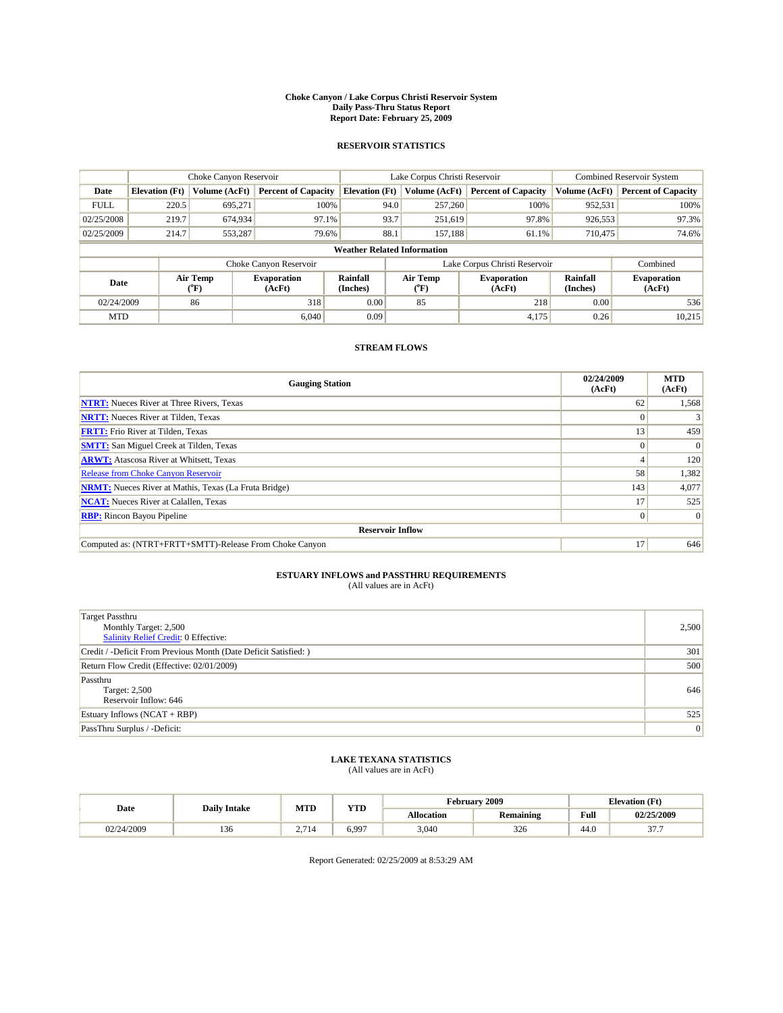#### **Choke Canyon / Lake Corpus Christi Reservoir System Daily Pass-Thru Status Report Report Date: February 25, 2009**

#### **RESERVOIR STATISTICS**

|                                    | Choke Canyon Reservoir |                  |                              |                             | Lake Corpus Christi Reservoir | <b>Combined Reservoir System</b> |                      |                              |  |
|------------------------------------|------------------------|------------------|------------------------------|-----------------------------|-------------------------------|----------------------------------|----------------------|------------------------------|--|
| Date                               | <b>Elevation</b> (Ft)  | Volume (AcFt)    | <b>Percent of Capacity</b>   | <b>Elevation</b> (Ft)       | Volume (AcFt)                 | <b>Percent of Capacity</b>       | Volume (AcFt)        | <b>Percent of Capacity</b>   |  |
| <b>FULL</b>                        | 220.5                  | 695,271          | 100%                         |                             | 94.0<br>257,260               | 100%                             | 952,531              | 100%                         |  |
| 02/25/2008                         | 219.7                  | 674,934          | 97.1%                        |                             | 93.7<br>251,619               | 97.8%                            | 926,553              | 97.3%                        |  |
| 02/25/2009                         | 214.7                  | 553,287          | 79.6%                        | 88.1                        | 157,188                       | 61.1%                            | 710,475              | 74.6%                        |  |
| <b>Weather Related Information</b> |                        |                  |                              |                             |                               |                                  |                      |                              |  |
|                                    |                        |                  | Choke Canyon Reservoir       |                             | Lake Corpus Christi Reservoir |                                  |                      | Combined                     |  |
| Date                               |                        | Air Temp<br>(°F) | <b>Evaporation</b><br>(AcFt) | <b>Rainfall</b><br>(Inches) | Air Temp<br>("F)              | <b>Evaporation</b><br>(AcFt)     | Rainfall<br>(Inches) | <b>Evaporation</b><br>(AcFt) |  |
| 02/24/2009                         |                        | 86               | 318                          | 0.00                        | 85                            | 218                              | 0.00                 | 536                          |  |
| <b>MTD</b>                         |                        |                  | 6.040                        | 0.09                        |                               | 4.175                            | 0.26                 | 10,215                       |  |

### **STREAM FLOWS**

| <b>Gauging Station</b>                                       | 02/24/2009<br>(AcFt) | <b>MTD</b><br>(AcFt) |  |  |  |  |
|--------------------------------------------------------------|----------------------|----------------------|--|--|--|--|
| <b>NTRT:</b> Nueces River at Three Rivers, Texas             | 62                   | 1,568                |  |  |  |  |
| <b>NRTT:</b> Nueces River at Tilden, Texas                   |                      |                      |  |  |  |  |
| <b>FRTT:</b> Frio River at Tilden, Texas                     | 13                   | 459                  |  |  |  |  |
| <b>SMTT:</b> San Miguel Creek at Tilden, Texas               |                      | $\Omega$             |  |  |  |  |
| <b>ARWT:</b> Atascosa River at Whitsett, Texas               |                      | 120                  |  |  |  |  |
| Release from Choke Canyon Reservoir                          | 58                   | 1,382                |  |  |  |  |
| <b>NRMT:</b> Nueces River at Mathis, Texas (La Fruta Bridge) | 143                  | 4,077                |  |  |  |  |
| <b>NCAT:</b> Nueces River at Calallen, Texas                 | 17                   | 525                  |  |  |  |  |
| <b>RBP:</b> Rincon Bayou Pipeline                            | $\overline{0}$       | $\Omega$             |  |  |  |  |
| <b>Reservoir Inflow</b>                                      |                      |                      |  |  |  |  |
| Computed as: (NTRT+FRTT+SMTT)-Release From Choke Canyon      | 17                   | 646                  |  |  |  |  |

# **ESTUARY INFLOWS and PASSTHRU REQUIREMENTS**<br>(All values are in AcFt)

| <b>Target Passthru</b><br>Monthly Target: 2,500<br><b>Salinity Relief Credit: 0 Effective:</b> | 2,500 |
|------------------------------------------------------------------------------------------------|-------|
| Credit / -Deficit From Previous Month (Date Deficit Satisfied: )                               | 301   |
| Return Flow Credit (Effective: 02/01/2009)                                                     | 500   |
| Passthru<br>Target: 2,500<br>Reservoir Inflow: 646                                             | 646   |
| Estuary Inflows $(NCAT + RBP)$                                                                 | 525   |
| PassThru Surplus / -Deficit:                                                                   | 0     |

## **LAKE TEXANA STATISTICS** (All values are in AcFt)

|            | <b>Daily Intake</b> | MTD                      | <b>XZOD</b><br>1 I.D |                   | <b>February 2009</b> | <b>Elevation</b> (Ft)                   |                  |
|------------|---------------------|--------------------------|----------------------|-------------------|----------------------|-----------------------------------------|------------------|
| Date       |                     |                          |                      | <b>Allocation</b> | <b>Remaining</b>     | Full<br>the contract of the contract of | 02/25/2009       |
| 02/24/2009 | 150                 | $\mathbf{A}$<br><u>.</u> | 6.997                | 3.040             | 326                  | 44.0                                    | $\sim$<br>-<br>. |

Report Generated: 02/25/2009 at 8:53:29 AM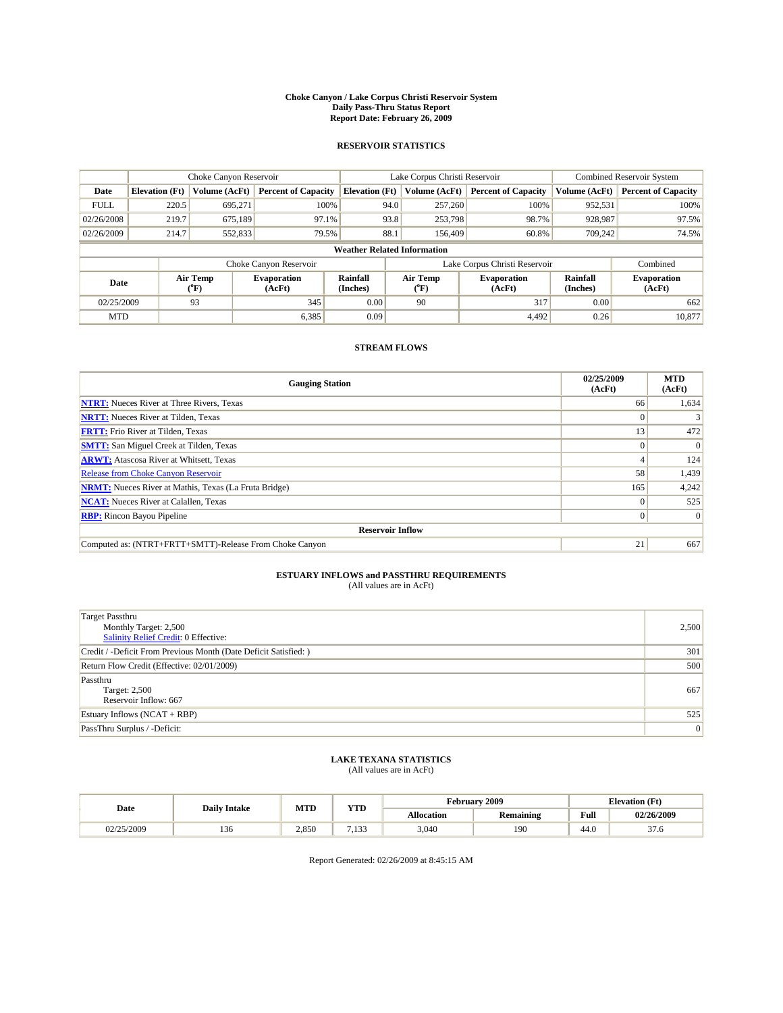#### **Choke Canyon / Lake Corpus Christi Reservoir System Daily Pass-Thru Status Report Report Date: February 26, 2009**

#### **RESERVOIR STATISTICS**

|                                    | Choke Canyon Reservoir |                  |                              |                       | Lake Corpus Christi Reservoir |         |                              |                      | <b>Combined Reservoir System</b> |  |
|------------------------------------|------------------------|------------------|------------------------------|-----------------------|-------------------------------|---------|------------------------------|----------------------|----------------------------------|--|
| Date                               | <b>Elevation</b> (Ft)  | Volume (AcFt)    | <b>Percent of Capacity</b>   | <b>Elevation</b> (Ft) | Volume (AcFt)                 |         | <b>Percent of Capacity</b>   | Volume (AcFt)        | <b>Percent of Capacity</b>       |  |
| <b>FULL</b>                        | 220.5                  | 695,271          | 100%                         |                       | 94.0                          | 257,260 | 100%                         | 952,531              | 100%                             |  |
| 02/26/2008                         | 219.7                  | 675,189          | 97.1%                        |                       | 93.8                          | 253,798 | 98.7%                        | 928,987              | 97.5%                            |  |
| 02/26/2009                         | 214.7                  | 552,833          | 79.5%                        | 88.1                  |                               | 156,409 | 60.8%                        | 709,242              | 74.5%                            |  |
| <b>Weather Related Information</b> |                        |                  |                              |                       |                               |         |                              |                      |                                  |  |
|                                    |                        |                  | Choke Canyon Reservoir       |                       | Lake Corpus Christi Reservoir |         |                              |                      | Combined                         |  |
| Date                               |                        | Air Temp<br>(°F) | <b>Evaporation</b><br>(AcFt) | Rainfall<br>(Inches)  | Air Temp<br>("F)              |         | <b>Evaporation</b><br>(AcFt) | Rainfall<br>(Inches) | <b>Evaporation</b><br>(AcFt)     |  |
| 02/25/2009                         |                        | 93               | 345                          | 0.00                  | 90                            |         | 317                          | 0.00                 | 662                              |  |
| <b>MTD</b>                         |                        |                  | 6,385                        | 0.09                  |                               |         | 4.492                        | 0.26                 | 10.877                           |  |

### **STREAM FLOWS**

| <b>Gauging Station</b>                                       | 02/25/2009<br>(AcFt) | <b>MTD</b><br>(AcFt) |  |  |  |  |
|--------------------------------------------------------------|----------------------|----------------------|--|--|--|--|
| <b>NTRT:</b> Nueces River at Three Rivers, Texas             | 66                   | 1,634                |  |  |  |  |
| <b>NRTT:</b> Nueces River at Tilden, Texas                   |                      |                      |  |  |  |  |
| <b>FRTT:</b> Frio River at Tilden, Texas                     | 13                   | 472                  |  |  |  |  |
| <b>SMTT:</b> San Miguel Creek at Tilden, Texas               | $\theta$             | $\Omega$             |  |  |  |  |
| <b>ARWT:</b> Atascosa River at Whitsett, Texas               |                      | 124                  |  |  |  |  |
| <b>Release from Choke Canyon Reservoir</b>                   | 58                   | 1,439                |  |  |  |  |
| <b>NRMT:</b> Nueces River at Mathis, Texas (La Fruta Bridge) | 165                  | 4,242                |  |  |  |  |
| <b>NCAT:</b> Nueces River at Calallen, Texas                 | $\theta$             | 525                  |  |  |  |  |
| <b>RBP:</b> Rincon Bayou Pipeline                            | $\overline{0}$       | $\Omega$             |  |  |  |  |
| <b>Reservoir Inflow</b>                                      |                      |                      |  |  |  |  |
| Computed as: (NTRT+FRTT+SMTT)-Release From Choke Canyon      | 21                   | 667                  |  |  |  |  |

# **ESTUARY INFLOWS and PASSTHRU REQUIREMENTS**<br>(All values are in AcFt)

| <b>Target Passthru</b><br>Monthly Target: 2,500<br>Salinity Relief Credit: 0 Effective: | 2,500 |
|-----------------------------------------------------------------------------------------|-------|
| Credit / -Deficit From Previous Month (Date Deficit Satisfied: )                        | 301   |
| Return Flow Credit (Effective: 02/01/2009)                                              | 500   |
| Passthru<br>Target: 2,500<br>Reservoir Inflow: 667                                      | 667   |
| Estuary Inflows (NCAT + RBP)                                                            | 525   |
| PassThru Surplus / -Deficit:                                                            | 0     |

## **LAKE TEXANA STATISTICS** (All values are in AcFt)

|            | <b>Daily Intake</b> | <b>MTD</b> | <b>YTD</b>    | .2009<br><b>Elevation</b> (Ft)<br>rebruary " |                  |      |                |
|------------|---------------------|------------|---------------|----------------------------------------------|------------------|------|----------------|
| Date       |                     |            |               | <b>Allocation</b>                            | <b>Remaining</b> | Full | 02/26/2009     |
| 02/25/2009 | 150                 | 2.850      | $\Delta$<br>. | 3,040                                        | 190              | 44.0 | $\sim$<br>37.0 |

Report Generated: 02/26/2009 at 8:45:15 AM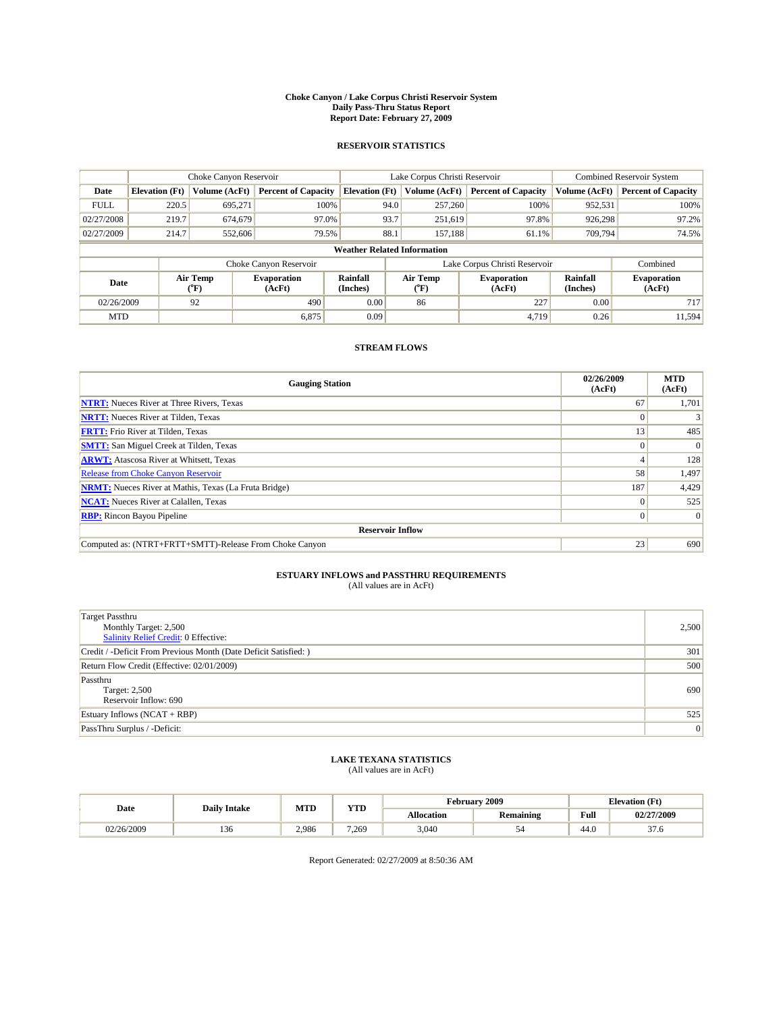#### **Choke Canyon / Lake Corpus Christi Reservoir System Daily Pass-Thru Status Report Report Date: February 27, 2009**

#### **RESERVOIR STATISTICS**

|             | Choke Canyon Reservoir             |                  |                              |                       | Lake Corpus Christi Reservoir | <b>Combined Reservoir System</b> |                      |                              |  |  |
|-------------|------------------------------------|------------------|------------------------------|-----------------------|-------------------------------|----------------------------------|----------------------|------------------------------|--|--|
| Date        | <b>Elevation</b> (Ft)              | Volume (AcFt)    | <b>Percent of Capacity</b>   | <b>Elevation</b> (Ft) | Volume (AcFt)                 | <b>Percent of Capacity</b>       | Volume (AcFt)        | <b>Percent of Capacity</b>   |  |  |
| <b>FULL</b> | 220.5                              | 695,271          | 100%                         | 94.0                  | 257,260                       | 100%                             | 952,531              | 100%                         |  |  |
| 02/27/2008  | 219.7                              | 674,679          | 97.0%                        | 93.7                  | 251,619                       | 97.8%                            | 926,298              | 97.2%                        |  |  |
| 02/27/2009  | 214.7                              | 552,606          | 79.5%                        | 88.1                  | 157,188                       | 61.1%                            | 709,794              | 74.5%                        |  |  |
|             | <b>Weather Related Information</b> |                  |                              |                       |                               |                                  |                      |                              |  |  |
|             |                                    |                  | Choke Canyon Reservoir       |                       |                               | Lake Corpus Christi Reservoir    |                      | Combined                     |  |  |
| Date        |                                    | Air Temp<br>(°F) | <b>Evaporation</b><br>(AcFt) | Rainfall<br>(Inches)  | Air Temp<br>("F)              | <b>Evaporation</b><br>(AcFt)     | Rainfall<br>(Inches) | <b>Evaporation</b><br>(AcFt) |  |  |
| 02/26/2009  |                                    | 92               | 490                          | 0.00                  | 86                            | 227                              | 0.00                 | 717                          |  |  |
| <b>MTD</b>  |                                    |                  | 6,875                        | 0.09                  |                               | 4.719                            | 0.26                 | 11.594                       |  |  |

### **STREAM FLOWS**

| <b>Gauging Station</b>                                       | 02/26/2009<br>(AcFt) | <b>MTD</b><br>(AcFt) |  |  |  |  |
|--------------------------------------------------------------|----------------------|----------------------|--|--|--|--|
| <b>NTRT:</b> Nueces River at Three Rivers, Texas             | 67                   | 1,701                |  |  |  |  |
| <b>NRTT:</b> Nueces River at Tilden, Texas                   |                      |                      |  |  |  |  |
| <b>FRTT:</b> Frio River at Tilden, Texas                     | 13                   | 485                  |  |  |  |  |
| <b>SMTT:</b> San Miguel Creek at Tilden, Texas               |                      | $\Omega$             |  |  |  |  |
| <b>ARWT:</b> Atascosa River at Whitsett, Texas               |                      | 128                  |  |  |  |  |
| Release from Choke Canyon Reservoir                          | 58                   | 1,497                |  |  |  |  |
| <b>NRMT:</b> Nueces River at Mathis, Texas (La Fruta Bridge) | 187                  | 4,429                |  |  |  |  |
| <b>NCAT:</b> Nueces River at Calallen, Texas                 | $\Omega$             | 525                  |  |  |  |  |
| <b>RBP:</b> Rincon Bayou Pipeline                            | $\Omega$             | $\Omega$             |  |  |  |  |
| <b>Reservoir Inflow</b>                                      |                      |                      |  |  |  |  |
| Computed as: (NTRT+FRTT+SMTT)-Release From Choke Canyon      | 23                   | 690                  |  |  |  |  |

# **ESTUARY INFLOWS and PASSTHRU REQUIREMENTS**<br>(All values are in AcFt)

| <b>Target Passthru</b><br>Monthly Target: 2,500<br>Salinity Relief Credit: 0 Effective: | 2,500 |
|-----------------------------------------------------------------------------------------|-------|
| Credit / -Deficit From Previous Month (Date Deficit Satisfied: )                        | 301   |
| Return Flow Credit (Effective: 02/01/2009)                                              | 500   |
| Passthru<br>Target: 2,500<br>Reservoir Inflow: 690                                      | 690   |
| Estuary Inflows (NCAT + RBP)                                                            | 525   |
| PassThru Surplus / -Deficit:                                                            | 0     |

## **LAKE TEXANA STATISTICS** (All values are in AcFt)

|            | <b>Daily Intake</b> |       | <b>YTD</b><br><b>MTD</b> |                   | <b>February 2009</b> | <b>Elevation</b> (Ft) |                |
|------------|---------------------|-------|--------------------------|-------------------|----------------------|-----------------------|----------------|
| Date       |                     |       |                          | <b>Allocation</b> | <b>Remaining</b>     | Full                  | 02/27/2009     |
| 02/26/2009 | 150                 | 2.986 | 7.269                    | 3,040             | $\sim$ 1             | 44.0                  | $\sim$<br>57.0 |

Report Generated: 02/27/2009 at 8:50:36 AM